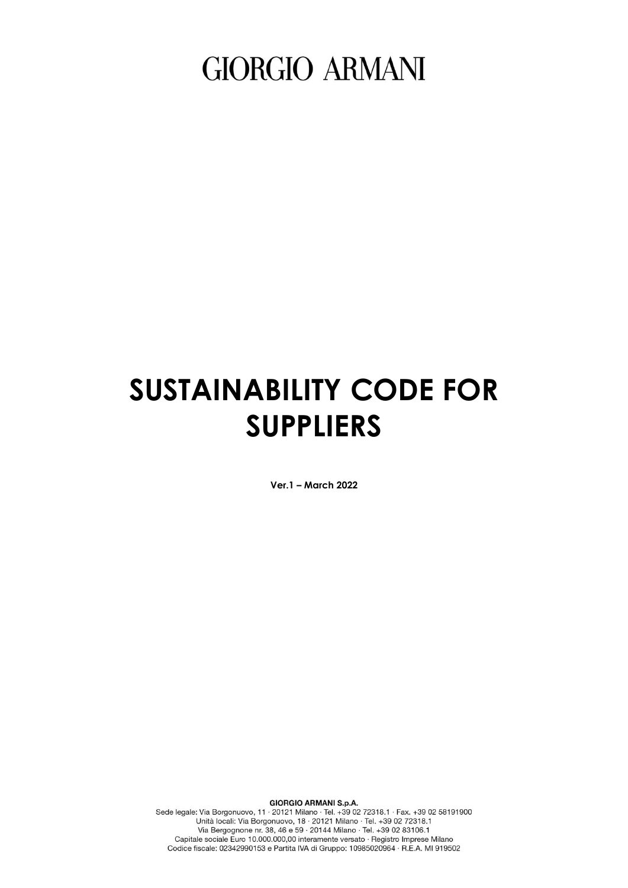## **SUSTAINABILITY CODE FOR SUPPLIERS**

**Ver.1 – March 2022**

GIORGIO ARMANI S.p.A.<br>
Sede legale: Via Borgonuovo, 11 - 20121 Milano · Tel. +39 02 72318.1 · Fax. +39 02 58191900<br>
Unità locali: Via Borgonuovo, 18 · 20121 Milano · Tel. +39 02 72318.1<br>
Via Bergognone nr. 38, 46 e 59 · 20

**GIORGIO ARMANI S.p.A.**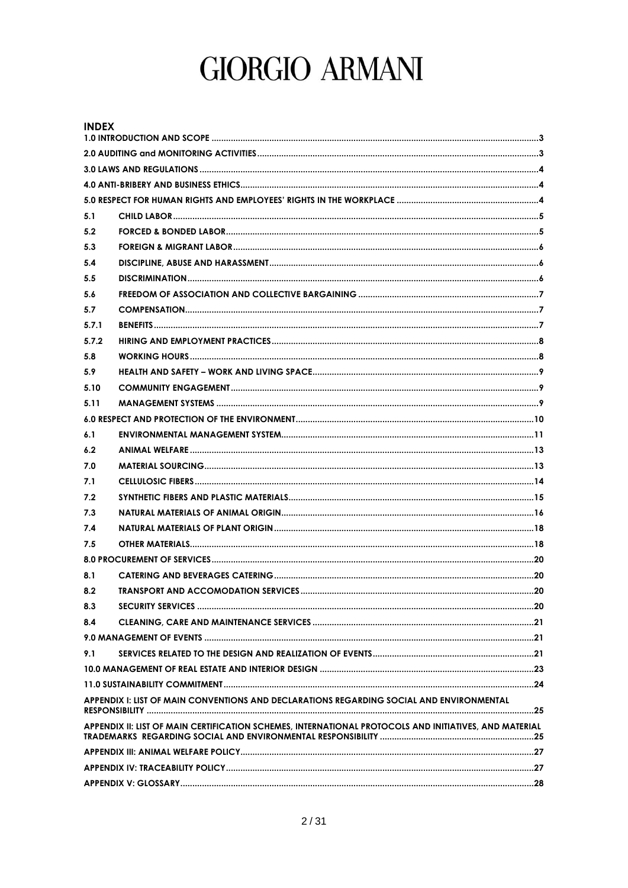| <b>INDEX</b> |                                                                                                        |  |
|--------------|--------------------------------------------------------------------------------------------------------|--|
|              |                                                                                                        |  |
|              |                                                                                                        |  |
|              |                                                                                                        |  |
|              |                                                                                                        |  |
|              |                                                                                                        |  |
| 5.1          |                                                                                                        |  |
| 5.2          |                                                                                                        |  |
| 5.3          |                                                                                                        |  |
| 5.4          |                                                                                                        |  |
| 5.5          |                                                                                                        |  |
| 5.6          |                                                                                                        |  |
| 5.7          |                                                                                                        |  |
| 5.7.1        |                                                                                                        |  |
| 5.7.2        |                                                                                                        |  |
| 5.8          |                                                                                                        |  |
| 5.9          |                                                                                                        |  |
| 5.10         |                                                                                                        |  |
| 5.11         |                                                                                                        |  |
|              |                                                                                                        |  |
| 6.1          |                                                                                                        |  |
| 6.2          |                                                                                                        |  |
| 7.0          |                                                                                                        |  |
| 7.1          |                                                                                                        |  |
| 7.2          |                                                                                                        |  |
| 7.3          |                                                                                                        |  |
| 7.4          |                                                                                                        |  |
| 7.5          |                                                                                                        |  |
|              |                                                                                                        |  |
| 8.1          |                                                                                                        |  |
| 8.2          |                                                                                                        |  |
| 8.3          |                                                                                                        |  |
| 8.4          |                                                                                                        |  |
|              |                                                                                                        |  |
| 9.1          |                                                                                                        |  |
|              |                                                                                                        |  |
|              |                                                                                                        |  |
|              | APPENDIX I: LIST OF MAIN CONVENTIONS AND DECLARATIONS REGARDING SOCIAL AND ENVIRONMENTAL               |  |
|              |                                                                                                        |  |
|              | APPENDIX II: LIST OF MAIN CERTIFICATION SCHEMES, INTERNATIONAL PROTOCOLS AND INITIATIVES, AND MATERIAL |  |
|              |                                                                                                        |  |
|              |                                                                                                        |  |
|              |                                                                                                        |  |
|              |                                                                                                        |  |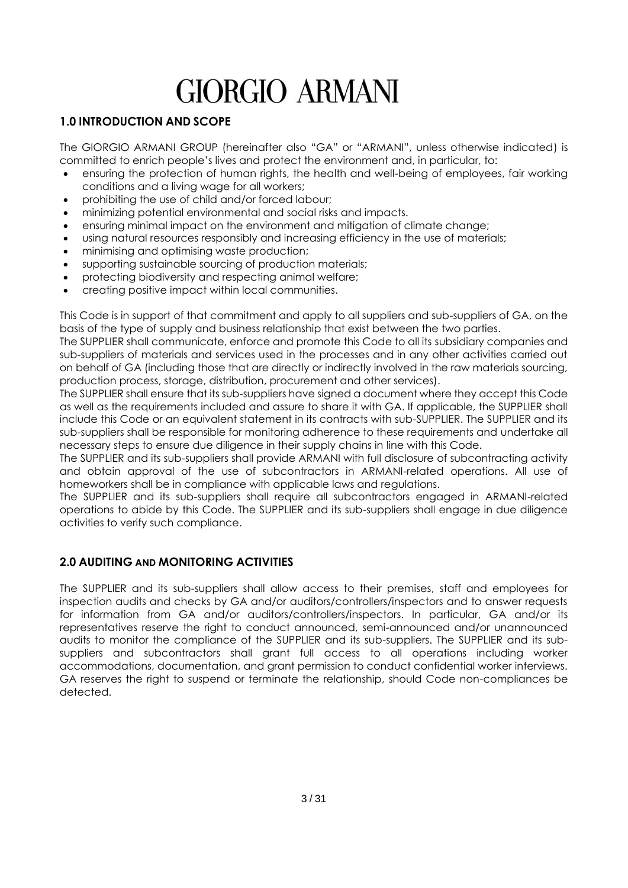## <span id="page-2-0"></span>**1.0 INTRODUCTION AND SCOPE**

The GIORGIO ARMANI GROUP (hereinafter also "GA" or "ARMANI", unless otherwise indicated) is committed to enrich people's lives and protect the environment and, in particular, to:

- ensuring the protection of human rights, the health and well-being of employees, fair working conditions and a living wage for all workers;
- prohibiting the use of child and/or forced labour;
- minimizing potential environmental and social risks and impacts.
- ensuring minimal impact on the environment and mitigation of climate change;
- using natural resources responsibly and increasing efficiency in the use of materials;
- minimising and optimising waste production;
- supporting sustainable sourcing of production materials;
- protecting biodiversity and respecting animal welfare;
- creating positive impact within local communities.

This Code is in support of that commitment and apply to all suppliers and sub-suppliers of GA, on the basis of the type of supply and business relationship that exist between the two parties.

The SUPPLIER shall communicate, enforce and promote this Code to all its subsidiary companies and sub-suppliers of materials and services used in the processes and in any other activities carried out on behalf of GA (including those that are directly or indirectly involved in the raw materials sourcing, production process, storage, distribution, procurement and other services).

The SUPPLIER shall ensure that its sub-suppliers have signed a document where they accept this Code as well as the requirements included and assure to share it with GA. If applicable, the SUPPLIER shall include this Code or an equivalent statement in its contracts with sub-SUPPLIER. The SUPPLIER and its sub-suppliers shall be responsible for monitoring adherence to these requirements and undertake all necessary steps to ensure due diligence in their supply chains in line with this Code.

The SUPPLIER and its sub-suppliers shall provide ARMANI with full disclosure of subcontracting activity and obtain approval of the use of subcontractors in ARMANI-related operations. All use of homeworkers shall be in compliance with applicable laws and regulations.

The SUPPLIER and its sub-suppliers shall require all subcontractors engaged in ARMANI-related operations to abide by this Code. The SUPPLIER and its sub-suppliers shall engage in due diligence activities to verify such compliance.

## <span id="page-2-1"></span>**2.0 AUDITING AND MONITORING ACTIVITIES**

The SUPPLIER and its sub-suppliers shall allow access to their premises, staff and employees for inspection audits and checks by GA and/or auditors/controllers/inspectors and to answer requests for information from GA and/or auditors/controllers/inspectors. In particular, GA and/or its representatives reserve the right to conduct announced, semi-announced and/or unannounced audits to monitor the compliance of the SUPPLIER and its sub-suppliers. The SUPPLIER and its subsuppliers and subcontractors shall grant full access to all operations including worker accommodations, documentation, and grant permission to conduct confidential worker interviews. GA reserves the right to suspend or terminate the relationship, should Code non-compliances be detected.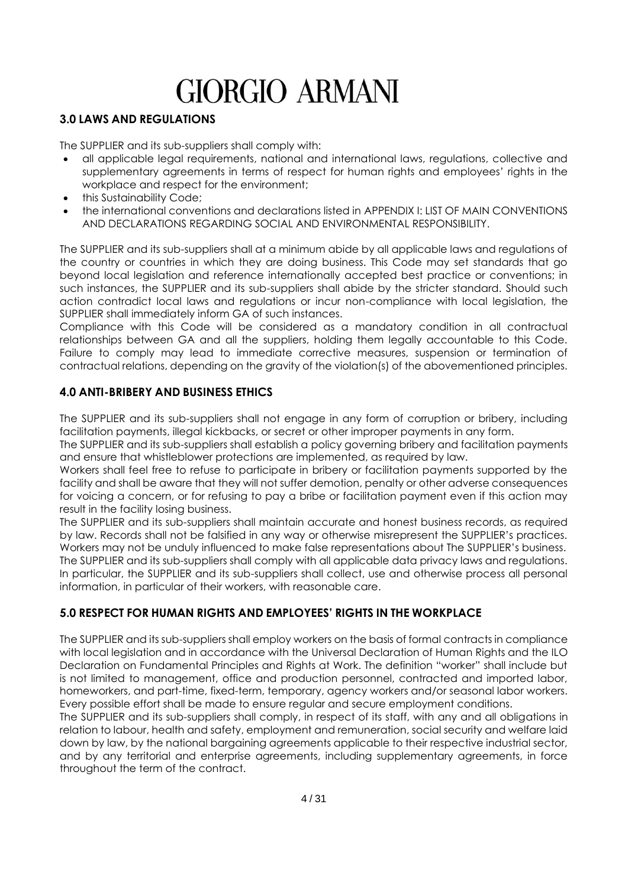## <span id="page-3-0"></span>**3.0 LAWS AND REGULATIONS**

The SUPPLIER and its sub-suppliers shall comply with:

- all applicable legal requirements, national and international laws, regulations, collective and supplementary agreements in terms of respect for human rights and employees' rights in the workplace and respect for the environment;
- this Sustainability Code;
- the international conventions and declarations listed in APPENDIX I: LIST OF MAIN CONVENTIONS AND DECLARATIONS REGARDING SOCIAL AND ENVIRONMENTAL RESPONSIBILITY.

The SUPPLIER and its sub-suppliers shall at a minimum abide by all applicable laws and regulations of the country or countries in which they are doing business. This Code may set standards that go beyond local legislation and reference internationally accepted best practice or conventions; in such instances, the SUPPLIER and its sub-suppliers shall abide by the stricter standard. Should such action contradict local laws and regulations or incur non-compliance with local legislation, the SUPPLIER shall immediately inform GA of such instances.

Compliance with this Code will be considered as a mandatory condition in all contractual relationships between GA and all the suppliers, holding them legally accountable to this Code. Failure to comply may lead to immediate corrective measures, suspension or termination of contractual relations, depending on the gravity of the violation(s) of the abovementioned principles.

## <span id="page-3-1"></span>**4.0 ANTI-BRIBERY AND BUSINESS ETHICS**

The SUPPLIER and its sub-suppliers shall not engage in any form of corruption or bribery, including facilitation payments, illegal kickbacks, or secret or other improper payments in any form.

The SUPPLIER and its sub-suppliers shall establish a policy governing bribery and facilitation payments and ensure that whistleblower protections are implemented, as required by law.

Workers shall feel free to refuse to participate in bribery or facilitation payments supported by the facility and shall be aware that they will not suffer demotion, penalty or other adverse consequences for voicing a concern, or for refusing to pay a bribe or facilitation payment even if this action may result in the facility losing business.

The SUPPLIER and its sub-suppliers shall maintain accurate and honest business records, as required by law. Records shall not be falsified in any way or otherwise misrepresent the SUPPLIER's practices. Workers may not be unduly influenced to make false representations about The SUPPLIER's business. The SUPPLIER and its sub-suppliers shall comply with all applicable data privacy laws and regulations. In particular, the SUPPLIER and its sub-suppliers shall collect, use and otherwise process all personal information, in particular of their workers, with reasonable care.

## <span id="page-3-2"></span>**5.0 RESPECT FOR HUMAN RIGHTS AND EMPLOYEES' RIGHTS IN THE WORKPLACE**

The SUPPLIER and its sub-suppliers shall employ workers on the basis of formal contracts in compliance with local legislation and in accordance with the Universal Declaration of Human Rights and the ILO Declaration on Fundamental Principles and Rights at Work. The definition "worker" shall include but is not limited to management, office and production personnel, contracted and imported labor, homeworkers, and part-time, fixed-term, temporary, agency workers and/or seasonal labor workers. Every possible effort shall be made to ensure regular and secure employment conditions.

The SUPPLIER and its sub-suppliers shall comply, in respect of its staff, with any and all obligations in relation to labour, health and safety, employment and remuneration, social security and welfare laid down by law, by the national bargaining agreements applicable to their respective industrial sector, and by any territorial and enterprise agreements, including supplementary agreements, in force throughout the term of the contract.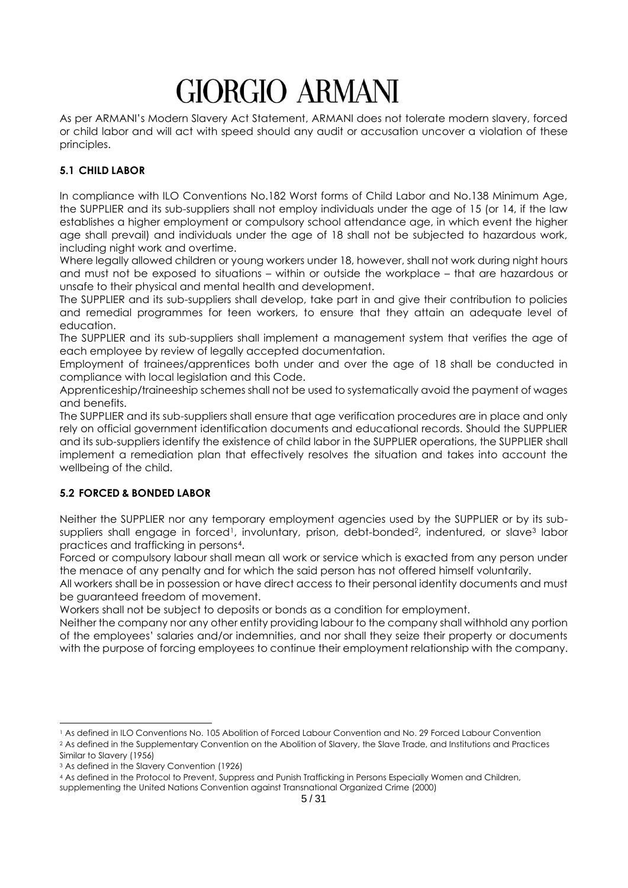As per ARMANI's Modern Slavery Act Statement, ARMANI does not tolerate modern slavery, forced or child labor and will act with speed should any audit or accusation uncover a violation of these principles.

## <span id="page-4-0"></span>**5.1 CHILD LABOR**

In compliance with ILO Conventions No.182 Worst forms of Child Labor and No.138 Minimum Age, the SUPPLIER and its sub-suppliers shall not employ individuals under the age of 15 (or 14, if the law establishes a higher employment or compulsory school attendance age, in which event the higher age shall prevail) and individuals under the age of 18 shall not be subjected to hazardous work, including night work and overtime.

Where legally allowed children or young workers under 18, however, shall not work during night hours and must not be exposed to situations – within or outside the workplace – that are hazardous or unsafe to their physical and mental health and development.

The SUPPLIER and its sub-suppliers shall develop, take part in and give their contribution to policies and remedial programmes for teen workers, to ensure that they attain an adequate level of education.

The SUPPLIER and its sub-suppliers shall implement a management system that verifies the age of each employee by review of legally accepted documentation.

Employment of trainees/apprentices both under and over the age of 18 shall be conducted in compliance with local legislation and this Code.

Apprenticeship/traineeship schemes shall not be used to systematically avoid the payment of wages and benefits.

The SUPPLIER and its sub-suppliers shall ensure that age verification procedures are in place and only rely on official government identification documents and educational records. Should the SUPPLIER and its sub-suppliers identify the existence of child labor in the SUPPLIER operations, the SUPPLIER shall implement a remediation plan that effectively resolves the situation and takes into account the wellbeing of the child.

## <span id="page-4-1"></span>**5.2 FORCED & BONDED LABOR**

Neither the SUPPLIER nor any temporary employment agencies used by the SUPPLIER or by its subsuppliers shall engage in forced<sup>1</sup>, involuntary, prison, debt-bonded<sup>2</sup>, indentured, or slave<sup>3</sup> labor practices and trafficking in persons4.

Forced or compulsory labour shall mean all work or service which is exacted from any person under the menace of any penalty and for which the said person has not offered himself voluntarily.

All workers shall be in possession or have direct access to their personal identity documents and must be guaranteed freedom of movement.

Workers shall not be subject to deposits or bonds as a condition for employment.

Neither the company nor any other entity providing labour to the company shall withhold any portion of the employees' salaries and/or indemnities, and nor shall they seize their property or documents with the purpose of forcing employees to continue their employment relationship with the company.

<sup>1</sup> As defined in ILO Conventions No. 105 Abolition of Forced Labour Convention and No. 29 Forced Labour Convention <sup>2</sup> As defined in the Supplementary Convention on the Abolition of Slavery, the Slave Trade, and Institutions and Practices Similar to Slavery (1956)

<sup>3</sup> As defined in the Slavery Convention (1926)

<sup>4</sup> As defined in the Protocol to Prevent, Suppress and Punish Trafficking in Persons Especially Women and Children,

supplementing the United Nations Convention against Transnational Organized Crime (2000)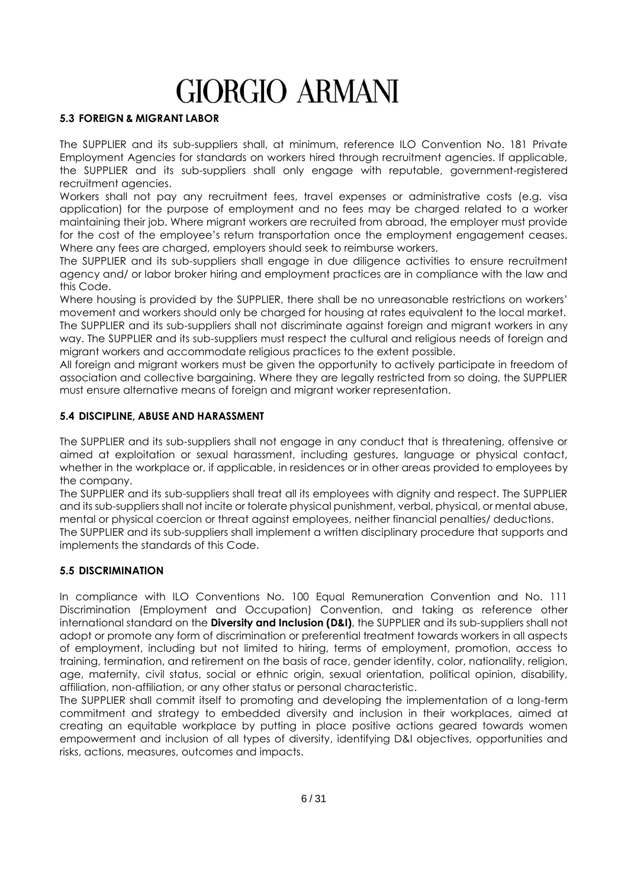#### <span id="page-5-0"></span>**5.3 FOREIGN & MIGRANT LABOR**

The SUPPLIER and its sub-suppliers shall, at minimum, reference ILO Convention No. 181 Private Employment Agencies for standards on workers hired through recruitment agencies. If applicable, the SUPPLIER and its sub-suppliers shall only engage with reputable, government-registered recruitment agencies.

Workers shall not pay any recruitment fees, travel expenses or administrative costs (e.g. visa application) for the purpose of employment and no fees may be charged related to a worker maintaining their job. Where migrant workers are recruited from abroad, the employer must provide for the cost of the employee's return transportation once the employment engagement ceases. Where any fees are charged, employers should seek to reimburse workers.

The SUPPLIER and its sub-suppliers shall engage in due diligence activities to ensure recruitment agency and/ or labor broker hiring and employment practices are in compliance with the law and this Code.

Where housing is provided by the SUPPLIER, there shall be no unreasonable restrictions on workers' movement and workers should only be charged for housing at rates equivalent to the local market. The SUPPLIER and its sub-suppliers shall not discriminate against foreign and migrant workers in any way. The SUPPLIER and its sub-suppliers must respect the cultural and religious needs of foreign and migrant workers and accommodate religious practices to the extent possible.

All foreign and migrant workers must be given the opportunity to actively participate in freedom of association and collective bargaining. Where they are legally restricted from so doing, the SUPPLIER must ensure alternative means of foreign and migrant worker representation.

#### <span id="page-5-1"></span>**5.4 DISCIPLINE, ABUSE AND HARASSMENT**

The SUPPLIER and its sub-suppliers shall not engage in any conduct that is threatening, offensive or aimed at exploitation or sexual harassment, including gestures, language or physical contact, whether in the workplace or, if applicable, in residences or in other areas provided to employees by the company.

The SUPPLIER and its sub-suppliers shall treat all its employees with dignity and respect. The SUPPLIER and its sub-suppliers shall not incite or tolerate physical punishment, verbal, physical, or mental abuse, mental or physical coercion or threat against employees, neither financial penalties/ deductions.

The SUPPLIER and its sub-suppliers shall implement a written disciplinary procedure that supports and implements the standards of this Code.

#### <span id="page-5-2"></span>**5.5 DISCRIMINATION**

In compliance with ILO Conventions No. 100 Equal Remuneration Convention and No. 111 Discrimination (Employment and Occupation) Convention, and taking as reference other international standard on the **Diversity and Inclusion (D&I)**, the SUPPLIER and its sub-suppliers shall not adopt or promote any form of discrimination or preferential treatment towards workers in all aspects of employment, including but not limited to hiring, terms of employment, promotion, access to training, termination, and retirement on the basis of race, gender identity, color, nationality, religion, age, maternity, civil status, social or ethnic origin, sexual orientation, political opinion, disability, affiliation, non-affiliation, or any other status or personal characteristic.

The SUPPLIER shall commit itself to promoting and developing the implementation of a long-term commitment and strategy to embedded diversity and inclusion in their workplaces, aimed at creating an equitable workplace by putting in place positive actions geared towards women empowerment and inclusion of all types of diversity, identifying D&I objectives, opportunities and risks, actions, measures, outcomes and impacts.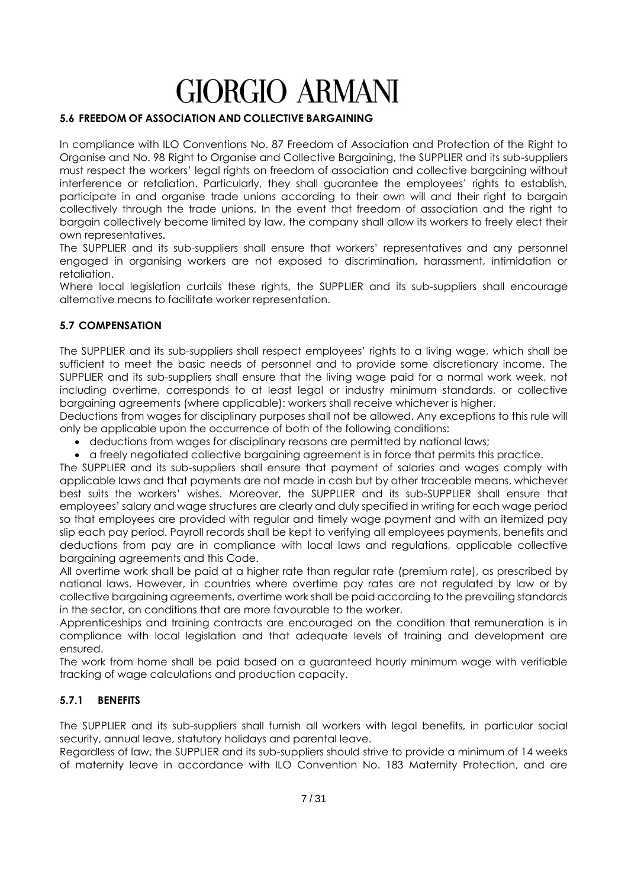#### <span id="page-6-0"></span>**5.6 FREEDOM OF ASSOCIATION AND COLLECTIVE BARGAINING**

In compliance with ILO Conventions No. 87 Freedom of Association and Protection of the Right to Organise and No. 98 Right to Organise and Collective Bargaining, the SUPPLIER and its sub-suppliers must respect the workers' legal rights on freedom of association and collective bargaining without interference or retaliation. Particularly, they shall guarantee the employees' rights to establish, participate in and organise trade unions according to their own will and their right to bargain collectively through the trade unions. In the event that freedom of association and the right to bargain collectively become limited by law, the company shall allow its workers to freely elect their own representatives.

The SUPPLIER and its sub-suppliers shall ensure that workers' representatives and any personnel engaged in organising workers are not exposed to discrimination, harassment, intimidation or retaliation.

Where local legislation curtails these rights, the SUPPLIER and its sub-suppliers shall encourage alternative means to facilitate worker representation.

#### <span id="page-6-1"></span>**5.7 COMPENSATION**

The SUPPLIER and its sub-suppliers shall respect employees' rights to a living wage, which shall be sufficient to meet the basic needs of personnel and to provide some discretionary income. The SUPPLIER and its sub-suppliers shall ensure that the living wage paid for a normal work week, not including overtime, corresponds to at least legal or industry minimum standards, or collective bargaining agreements (where applicable): workers shall receive whichever is higher.

Deductions from wages for disciplinary purposes shall not be allowed. Any exceptions to this rule will only be applicable upon the occurrence of both of the following conditions:

- deductions from wages for disciplinary reasons are permitted by national laws;
- a freely negotiated collective bargaining agreement is in force that permits this practice.

The SUPPLIER and its sub-suppliers shall ensure that payment of salaries and wages comply with applicable laws and that payments are not made in cash but by other traceable means, whichever best suits the workers' wishes. Moreover, the SUPPLIER and its sub-SUPPLIER shall ensure that employees' salary and wage structures are clearly and duly specified in writing for each wage period so that employees are provided with regular and timely wage payment and with an itemized pay slip each pay period. Payroll records shall be kept to verifying all employees payments, benefits and deductions from pay are in compliance with local laws and regulations, applicable collective bargaining agreements and this Code.

All overtime work shall be paid at a higher rate than regular rate (premium rate), as prescribed by national laws. However, in countries where overtime pay rates are not regulated by law or by collective bargaining agreements, overtime work shall be paid according to the prevailing standards in the sector, on conditions that are more favourable to the worker.

Apprenticeships and training contracts are encouraged on the condition that remuneration is in compliance with local legislation and that adequate levels of training and development are ensured.

The work from home shall be paid based on a guaranteed hourly minimum wage with verifiable tracking of wage calculations and production capacity.

#### <span id="page-6-2"></span>**5.7.1 BENEFITS**

The SUPPLIER and its sub-suppliers shall furnish all workers with legal benefits, in particular social security, annual leave, statutory holidays and parental leave.

Regardless of law, the SUPPLIER and its sub-suppliers should strive to provide a minimum of 14 weeks of maternity leave in accordance with ILO Convention No. 183 Maternity Protection, and are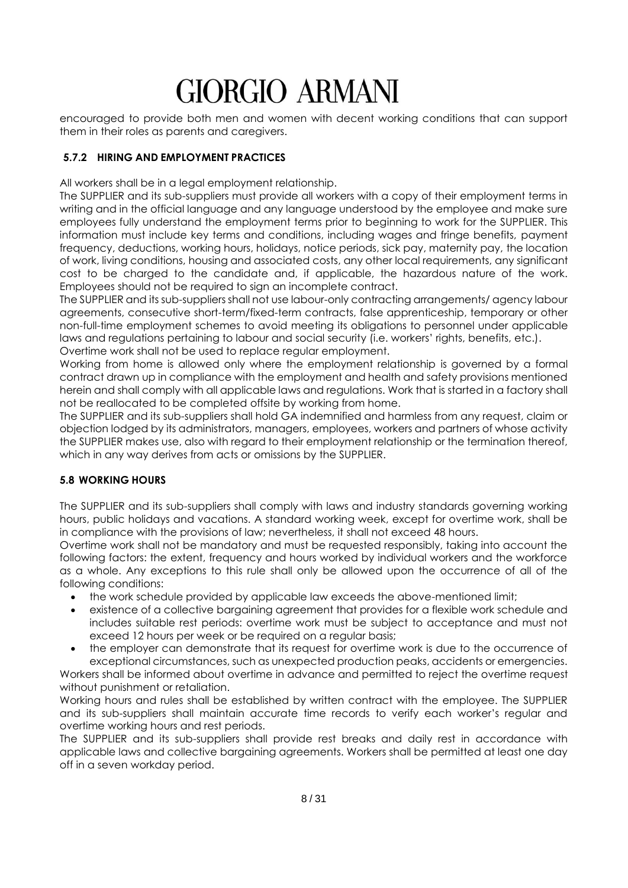encouraged to provide both men and women with decent working conditions that can support them in their roles as parents and caregivers.

### <span id="page-7-0"></span>**5.7.2 HIRING AND EMPLOYMENT PRACTICES**

All workers shall be in a leaal employment relationship.

The SUPPLIER and its sub-suppliers must provide all workers with a copy of their employment terms in writing and in the official language and any language understood by the employee and make sure employees fully understand the employment terms prior to beginning to work for the SUPPLIER. This information must include key terms and conditions, including wages and fringe benefits, payment frequency, deductions, working hours, holidays, notice periods, sick pay, maternity pay, the location of work, living conditions, housing and associated costs, any other local requirements, any significant cost to be charged to the candidate and, if applicable, the hazardous nature of the work. Employees should not be required to sign an incomplete contract.

The SUPPLIER and its sub-suppliers shall not use labour-only contracting arrangements/ agency labour agreements, consecutive short-term/fixed-term contracts, false apprenticeship, temporary or other non-full-time employment schemes to avoid meeting its obligations to personnel under applicable laws and regulations pertaining to labour and social security (i.e. workers' rights, benefits, etc.). Overtime work shall not be used to replace regular employment.

Working from home is allowed only where the employment relationship is governed by a formal contract drawn up in compliance with the employment and health and safety provisions mentioned herein and shall comply with all applicable laws and regulations. Work that is started in a factory shall not be reallocated to be completed offsite by working from home.

The SUPPLIER and its sub-suppliers shall hold GA indemnified and harmless from any request, claim or objection lodged by its administrators, managers, employees, workers and partners of whose activity the SUPPLIER makes use, also with regard to their employment relationship or the termination thereof, which in any way derives from acts or omissions by the SUPPLIER.

## <span id="page-7-1"></span>**5.8 WORKING HOURS**

The SUPPLIER and its sub-suppliers shall comply with laws and industry standards governing working hours, public holidays and vacations. A standard working week, except for overtime work, shall be in compliance with the provisions of law; nevertheless, it shall not exceed 48 hours.

Overtime work shall not be mandatory and must be requested responsibly, taking into account the following factors: the extent, frequency and hours worked by individual workers and the workforce as a whole. Any exceptions to this rule shall only be allowed upon the occurrence of all of the following conditions:

- the work schedule provided by applicable law exceeds the above-mentioned limit;
- existence of a collective bargaining agreement that provides for a flexible work schedule and includes suitable rest periods: overtime work must be subject to acceptance and must not exceed 12 hours per week or be required on a regular basis;
- the employer can demonstrate that its request for overtime work is due to the occurrence of exceptional circumstances, such as unexpected production peaks, accidents or emergencies. Workers shall be informed about overtime in advance and permitted to reject the overtime request

without punishment or retaliation.

Working hours and rules shall be established by written contract with the employee. The SUPPLIER and its sub-suppliers shall maintain accurate time records to verify each worker's regular and overtime working hours and rest periods.

The SUPPLIER and its sub-suppliers shall provide rest breaks and daily rest in accordance with applicable laws and collective bargaining agreements. Workers shall be permitted at least one day off in a seven workday period.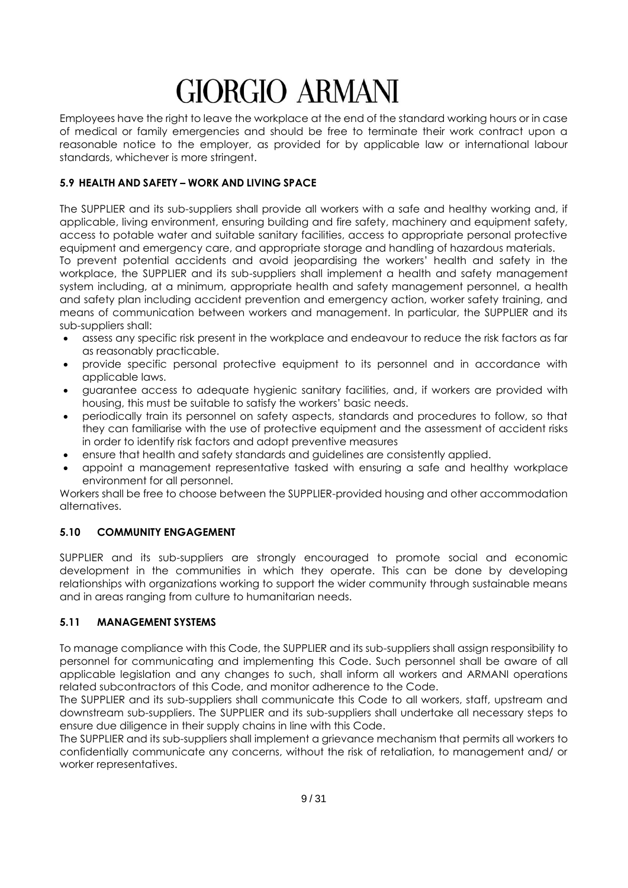Employees have the right to leave the workplace at the end of the standard working hours or in case of medical or family emergencies and should be free to terminate their work contract upon a reasonable notice to the employer, as provided for by applicable law or international labour standards, whichever is more stringent.

#### <span id="page-8-0"></span>**5.9 HEALTH AND SAFETY – WORK AND LIVING SPACE**

The SUPPLIER and its sub-suppliers shall provide all workers with a safe and healthy working and, if applicable, living environment, ensuring building and fire safety, machinery and equipment safety, access to potable water and suitable sanitary facilities, access to appropriate personal protective equipment and emergency care, and appropriate storage and handling of hazardous materials.

To prevent potential accidents and avoid jeopardising the workers' health and safety in the workplace, the SUPPLIER and its sub-suppliers shall implement a health and safety management system including, at a minimum, appropriate health and safety management personnel, a health and safety plan including accident prevention and emergency action, worker safety training, and means of communication between workers and management. In particular, the SUPPLIER and its sub-suppliers shall:

- assess any specific risk present in the workplace and endeavour to reduce the risk factors as far as reasonably practicable.
- provide specific personal protective equipment to its personnel and in accordance with applicable laws.
- guarantee access to adequate hygienic sanitary facilities, and, if workers are provided with housing, this must be suitable to satisfy the workers' basic needs.
- periodically train its personnel on safety aspects, standards and procedures to follow, so that they can familiarise with the use of protective equipment and the assessment of accident risks in order to identify risk factors and adopt preventive measures
- ensure that health and safety standards and guidelines are consistently applied.
- appoint a management representative tasked with ensuring a safe and healthy workplace environment for all personnel.

Workers shall be free to choose between the SUPPLIER-provided housing and other accommodation alternatives.

## <span id="page-8-1"></span>**5.10 COMMUNITY ENGAGEMENT**

SUPPLIER and its sub-suppliers are strongly encouraged to promote social and economic development in the communities in which they operate. This can be done by developing relationships with organizations working to support the wider community through sustainable means and in areas ranging from culture to humanitarian needs.

#### <span id="page-8-2"></span>**5.11 MANAGEMENT SYSTEMS**

To manage compliance with this Code, the SUPPLIER and its sub-suppliers shall assign responsibility to personnel for communicating and implementing this Code. Such personnel shall be aware of all applicable legislation and any changes to such, shall inform all workers and ARMANI operations related subcontractors of this Code, and monitor adherence to the Code.

The SUPPLIER and its sub-suppliers shall communicate this Code to all workers, staff, upstream and downstream sub-suppliers. The SUPPLIER and its sub-suppliers shall undertake all necessary steps to ensure due diligence in their supply chains in line with this Code.

The SUPPLIER and its sub-suppliers shall implement a grievance mechanism that permits all workers to confidentially communicate any concerns, without the risk of retaliation, to management and/ or worker representatives.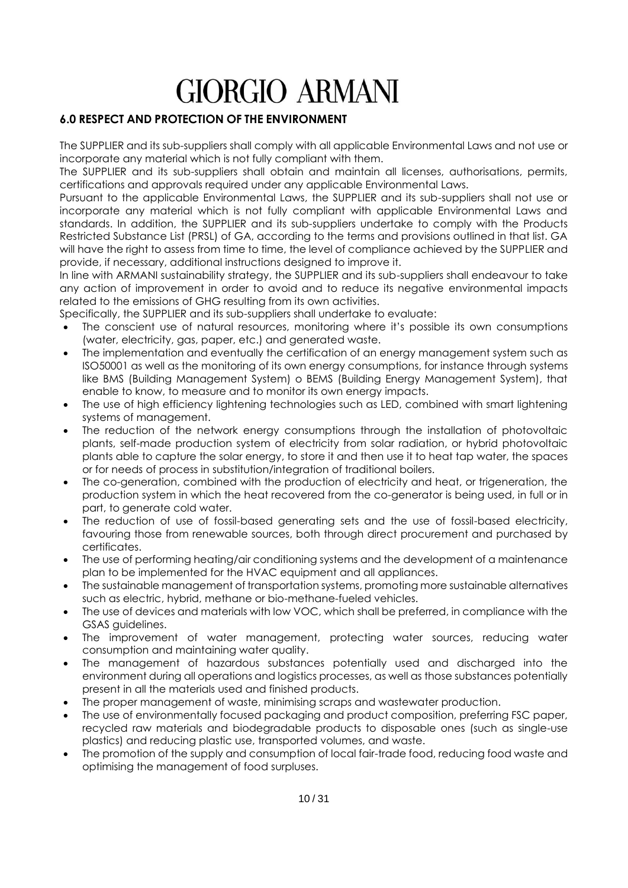## <span id="page-9-0"></span>**6.0 RESPECT AND PROTECTION OF THE ENVIRONMENT**

The SUPPLIER and its sub-suppliers shall comply with all applicable Environmental Laws and not use or incorporate any material which is not fully compliant with them.

The SUPPLIER and its sub-suppliers shall obtain and maintain all licenses, authorisations, permits, certifications and approvals required under any applicable Environmental Laws.

Pursuant to the applicable Environmental Laws, the SUPPLIER and its sub-suppliers shall not use or incorporate any material which is not fully compliant with applicable Environmental Laws and standards. In addition, the SUPPLIER and its sub-suppliers undertake to comply with the Products Restricted Substance List (PRSL) of GA, according to the terms and provisions outlined in that list. GA will have the right to assess from time to time, the level of compliance achieved by the SUPPLIER and provide, if necessary, additional instructions designed to improve it.

In line with ARMANI sustainability strategy, the SUPPLIER and its sub-suppliers shall endeavour to take any action of improvement in order to avoid and to reduce its negative environmental impacts related to the emissions of GHG resulting from its own activities.

Specifically, the SUPPLIER and its sub-suppliers shall undertake to evaluate:

- The conscient use of natural resources, monitoring where it's possible its own consumptions (water, electricity, gas, paper, etc.) and generated waste.
- The implementation and eventually the certification of an energy management system such as ISO50001 as well as the monitoring of its own energy consumptions, for instance through systems like BMS (Building Management System) o BEMS (Building Energy Management System), that enable to know, to measure and to monitor its own energy impacts.
- The use of high efficiency lightening technologies such as LED, combined with smart lightening systems of management.
- The reduction of the network energy consumptions through the installation of photovoltaic plants, self-made production system of electricity from solar radiation, or hybrid photovoltaic plants able to capture the solar energy, to store it and then use it to heat tap water, the spaces or for needs of process in substitution/integration of traditional boilers.
- The co-generation, combined with the production of electricity and heat, or trigeneration, the production system in which the heat recovered from the co-generator is being used, in full or in part, to generate cold water.
- The reduction of use of fossil-based generating sets and the use of fossil-based electricity, favouring those from renewable sources, both through direct procurement and purchased by certificates.
- The use of performing heating/air conditioning systems and the development of a maintenance plan to be implemented for the HVAC equipment and all appliances.
- The sustainable management of transportation systems, promoting more sustainable alternatives such as electric, hybrid, methane or bio-methane-fueled vehicles.
- The use of devices and materials with low VOC, which shall be preferred, in compliance with the GSAS guidelines.
- The improvement of water management, protecting water sources, reducing water consumption and maintaining water quality.
- The management of hazardous substances potentially used and discharged into the environment during all operations and logistics processes, as well as those substances potentially present in all the materials used and finished products.
- The proper management of waste, minimising scraps and wastewater production.
- The use of environmentally focused packaging and product composition, preferring FSC paper, recycled raw materials and biodegradable products to disposable ones (such as single-use plastics) and reducing plastic use, transported volumes, and waste.
- The promotion of the supply and consumption of local fair-trade food, reducing food waste and optimising the management of food surpluses.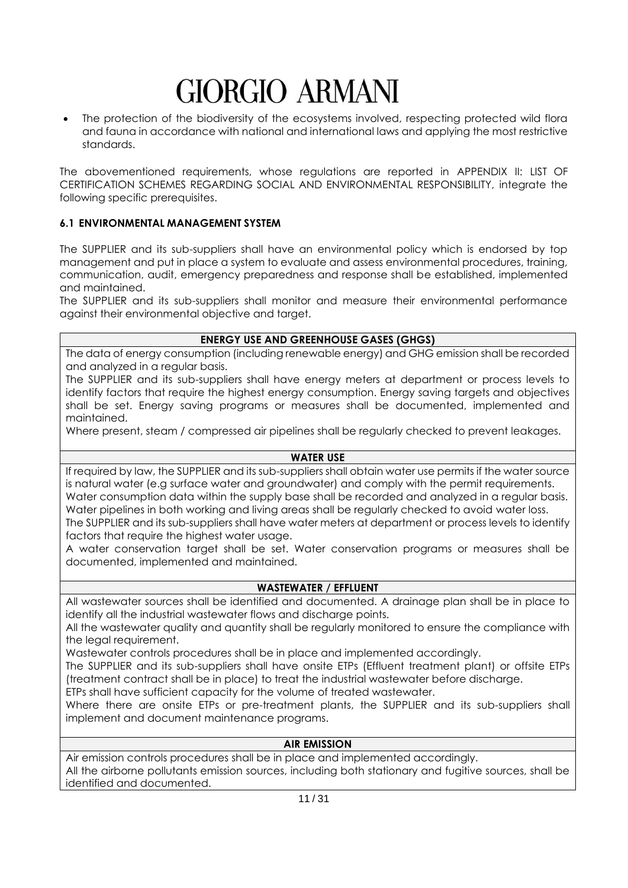The protection of the biodiversity of the ecosystems involved, respecting protected wild flora and fauna in accordance with national and international laws and applying the most restrictive standards.

The abovementioned requirements, whose regulations are reported in APPENDIX II: LIST OF CERTIFICATION SCHEMES REGARDING SOCIAL AND ENVIRONMENTAL RESPONSIBILITY, integrate the following specific prerequisites.

#### <span id="page-10-0"></span>**6.1 ENVIRONMENTAL MANAGEMENT SYSTEM**

The SUPPLIER and its sub-suppliers shall have an environmental policy which is endorsed by top management and put in place a system to evaluate and assess environmental procedures, training, communication, audit, emergency preparedness and response shall be established, implemented and maintained.

The SUPPLIER and its sub-suppliers shall monitor and measure their environmental performance against their environmental objective and target.

#### **ENERGY USE AND GREENHOUSE GASES (GHGS)**

The data of energy consumption (including renewable energy) and GHG emission shall be recorded and analyzed in a regular basis.

The SUPPLIER and its sub-suppliers shall have energy meters at department or process levels to identify factors that require the highest energy consumption. Energy saving targets and objectives shall be set. Energy saving programs or measures shall be documented, implemented and maintained.

Where present, steam / compressed air pipelines shall be regularly checked to prevent leakages.

#### **WATER USE**

If required by law, the SUPPLIER and its sub-suppliers shall obtain water use permits if the water source is natural water (e.g surface water and groundwater) and comply with the permit requirements. Water consumption data within the supply base shall be recorded and analyzed in a regular basis. Water pipelines in both working and living areas shall be regularly checked to avoid water loss. The SUPPLIER and its sub-suppliers shall have water meters at department or process levels to identify factors that require the highest water usage.

A water conservation target shall be set. Water conservation programs or measures shall be documented, implemented and maintained.

#### **WASTEWATER / EFFLUENT**

All wastewater sources shall be identified and documented. A drainage plan shall be in place to identify all the industrial wastewater flows and discharge points.

All the wastewater quality and quantity shall be regularly monitored to ensure the compliance with the legal requirement.

Wastewater controls procedures shall be in place and implemented accordingly.

The SUPPLIER and its sub-suppliers shall have onsite ETPs (Effluent treatment plant) or offsite ETPs (treatment contract shall be in place) to treat the industrial wastewater before discharge.

ETPs shall have sufficient capacity for the volume of treated wastewater.

Where there are onsite ETPs or pre-treatment plants, the SUPPLIER and its sub-suppliers shall implement and document maintenance programs.

#### **AIR EMISSION**

Air emission controls procedures shall be in place and implemented accordingly. All the airborne pollutants emission sources, including both stationary and fugitive sources, shall be identified and documented.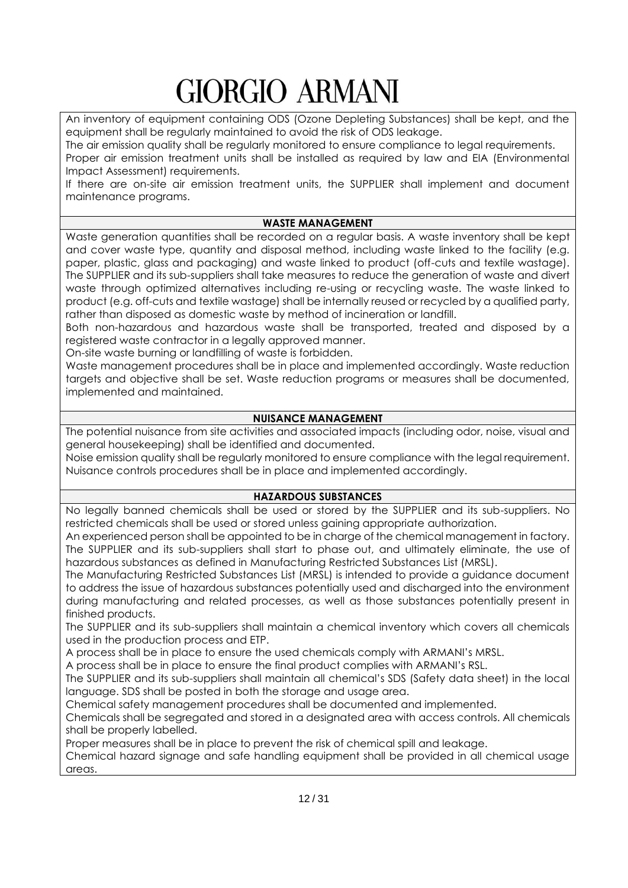An inventory of equipment containing ODS (Ozone Depleting Substances) shall be kept, and the equipment shall be regularly maintained to avoid the risk of ODS leakage.

The air emission quality shall be regularly monitored to ensure compliance to legal requirements. Proper air emission treatment units shall be installed as required by law and EIA (Environmental Impact Assessment) requirements.

If there are on-site air emission treatment units, the SUPPLIER shall implement and document maintenance programs.

## **WASTE MANAGEMENT**

Waste generation quantities shall be recorded on a regular basis. A waste inventory shall be kept and cover waste type, quantity and disposal method, including waste linked to the facility (e.g. paper, plastic, glass and packaging) and waste linked to product (off-cuts and textile wastage). The SUPPLIER and its sub-suppliers shall take measures to reduce the generation of waste and divert waste through optimized alternatives including re-using or recycling waste. The waste linked to product (e.g. off-cuts and textile wastage) shall be internally reused or recycled by a qualified party, rather than disposed as domestic waste by method of incineration or landfill.

Both non-hazardous and hazardous waste shall be transported, treated and disposed by a registered waste contractor in a legally approved manner.

On-site waste burning or landfilling of waste is forbidden.

Waste management procedures shall be in place and implemented accordingly. Waste reduction targets and objective shall be set. Waste reduction programs or measures shall be documented, implemented and maintained.

#### **NUISANCE MANAGEMENT**

The potential nuisance from site activities and associated impacts (including odor, noise, visual and general housekeeping) shall be identified and documented.

Noise emission quality shall be regularly monitored to ensure compliance with the legal requirement. Nuisance controls procedures shall be in place and implemented accordingly.

## **HAZARDOUS SUBSTANCES**

No legally banned chemicals shall be used or stored by the SUPPLIER and its sub-suppliers. No restricted chemicals shall be used or stored unless gaining appropriate authorization.

An experienced person shall be appointed to be in charge of the chemical management in factory. The SUPPLIER and its sub-suppliers shall start to phase out, and ultimately eliminate, the use of hazardous substances as defined in Manufacturing Restricted Substances List (MRSL).

The Manufacturing Restricted Substances List (MRSL) is intended to provide a guidance document to address the issue of hazardous substances potentially used and discharged into the environment during manufacturing and related processes, as well as those substances potentially present in finished products.

The SUPPLIER and its sub-suppliers shall maintain a chemical inventory which covers all chemicals used in the production process and ETP.

A process shall be in place to ensure the used chemicals comply with ARMANI's MRSL.

A process shall be in place to ensure the final product complies with ARMANI's RSL.

The SUPPLIER and its sub-suppliers shall maintain all chemical's SDS (Safety data sheet) in the local language. SDS shall be posted in both the storage and usage area.

Chemical safety management procedures shall be documented and implemented.

Chemicals shall be segregated and stored in a designated area with access controls. All chemicals shall be properly labelled.

Proper measures shall be in place to prevent the risk of chemical spill and leakage.

Chemical hazard signage and safe handling equipment shall be provided in all chemical usage areas.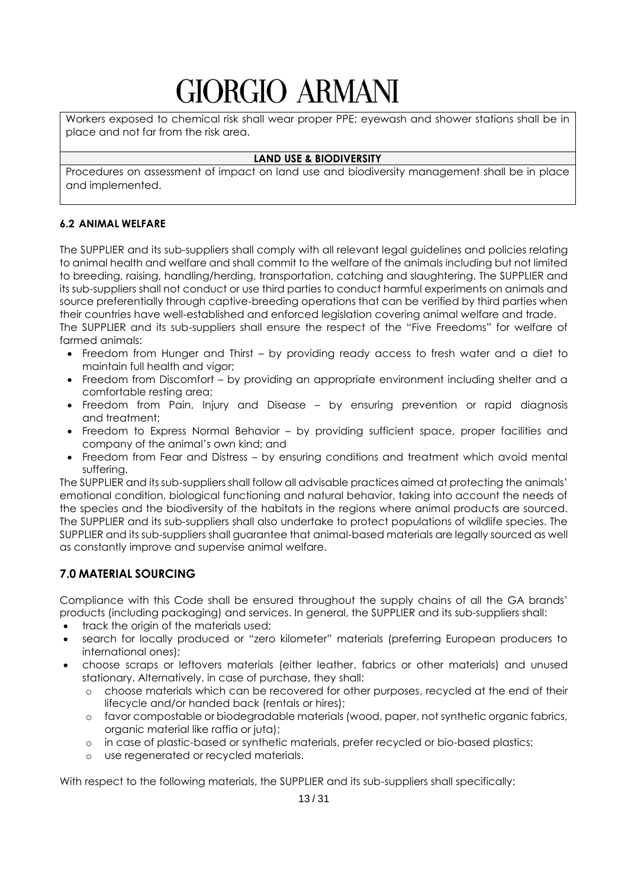Workers exposed to chemical risk shall wear proper PPE; eyewash and shower stations shall be in place and not far from the risk area.

### **LAND USE & BIODIVERSITY**

Procedures on assessment of impact on land use and biodiversity management shall be in place and implemented.

#### <span id="page-12-0"></span>**6.2 ANIMAL WELFARE**

The SUPPLIER and its sub-suppliers shall comply with all relevant legal guidelines and policies relating to animal health and welfare and shall commit to the welfare of the animals including but not limited to breeding, raising, handling/herding, transportation, catching and slaughtering. The SUPPLIER and its sub-suppliers shall not conduct or use third parties to conduct harmful experiments on animals and source preferentially through captive-breeding operations that can be verified by third parties when their countries have well-established and enforced legislation covering animal welfare and trade. The SUPPLIER and its sub-suppliers shall ensure the respect of the "Five Freedoms" for welfare of farmed animals:

- Freedom from Hunger and Thirst by providing ready access to fresh water and a diet to maintain full health and vigor;
- Freedom from Discomfort by providing an appropriate environment including shelter and a comfortable resting area;
- Freedom from Pain, Injury and Disease by ensuring prevention or rapid diagnosis and treatment;
- Freedom to Express Normal Behavior by providing sufficient space, proper facilities and company of the animal's own kind; and
- Freedom from Fear and Distress by ensuring conditions and treatment which avoid mental suffering.

The SUPPLIER and its sub-suppliers shall follow all advisable practices aimed at protecting the animals' emotional condition, biological functioning and natural behavior, taking into account the needs of the species and the biodiversity of the habitats in the regions where animal products are sourced. The SUPPLIER and its sub-suppliers shall also undertake to protect populations of wildlife species. The SUPPLIER and its sub-suppliers shall guarantee that animal-based materials are legally sourced as well as constantly improve and supervise animal welfare.

## <span id="page-12-1"></span>**7.0 MATERIAL SOURCING**

Compliance with this Code shall be ensured throughout the supply chains of all the GA brands' products (including packaging) and services. In general, the SUPPLIER and its sub-suppliers shall:

- track the origin of the materials used;
- search for locally produced or "zero kilometer" materials (preferring European producers to international ones);
- choose scraps or leftovers materials (either leather, fabrics or other materials) and unused stationary. Alternatively, in case of purchase, they shall:
	- o choose materials which can be recovered for other purposes, recycled at the end of their lifecycle and/or handed back (rentals or hires);
	- o favor compostable or biodegradable materials (wood, paper, not synthetic organic fabrics, organic material like raffia or juta);
	- o in case of plastic-based or synthetic materials, prefer recycled or bio-based plastics;
	- o use regenerated or recycled materials.

With respect to the following materials, the SUPPLIER and its sub-suppliers shall specifically: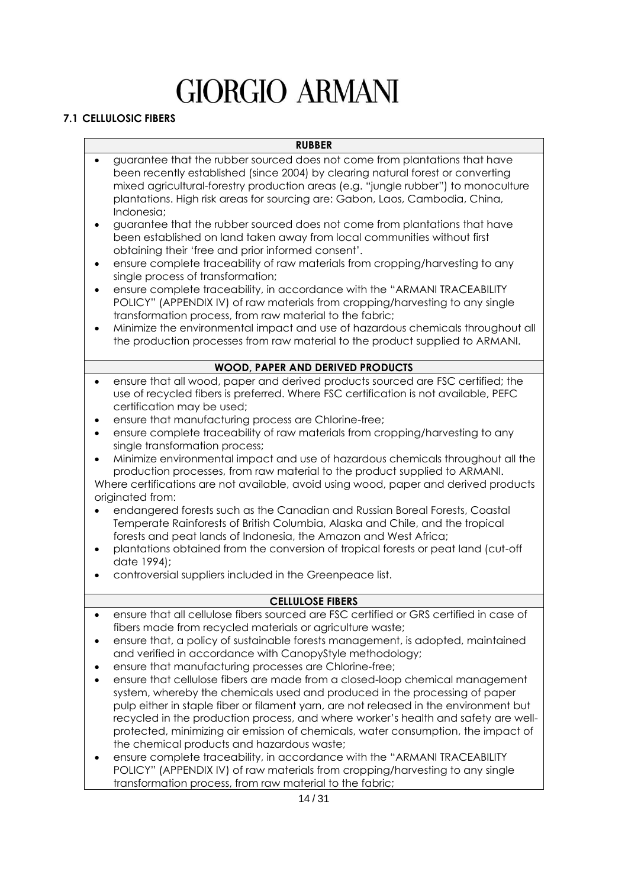## <span id="page-13-0"></span>**7.1 CELLULOSIC FIBERS**

- guarantee that the rubber sourced does not come from plantations that have been recently established (since 2004) by clearing natural forest or converting mixed agricultural-forestry production areas (e.g. "jungle rubber") to monoculture plantations. High risk areas for sourcing are: Gabon, Laos, Cambodia, China, Indonesia;
- guarantee that the rubber sourced does not come from plantations that have been established on land taken away from local communities without first obtaining their 'free and prior informed consent'.
- ensure complete traceability of raw materials from cropping/harvesting to any single process of transformation;
- ensure complete traceability, in accordance with the "ARMANI TRACEABILITY POLICY" (APPENDIX IV) of raw materials from cropping/harvesting to any single transformation process, from raw material to the fabric;
- Minimize the environmental impact and use of hazardous chemicals throughout all the production processes from raw material to the product supplied to ARMANI.

#### **WOOD, PAPER AND DERIVED PRODUCTS**

- ensure that all wood, paper and derived products sourced are FSC certified; the use of recycled fibers is preferred. Where FSC certification is not available, PEFC certification may be used;
- ensure that manufacturing process are Chlorine-free;
- ensure complete traceability of raw materials from cropping/harvesting to any single transformation process;
- Minimize environmental impact and use of hazardous chemicals throughout all the production processes, from raw material to the product supplied to ARMANI. Where certifications are not available, avoid using wood, paper and derived products originated from:
- endangered forests such as the Canadian and Russian Boreal Forests, Coastal Temperate Rainforests of British Columbia, Alaska and Chile, and the tropical forests and peat lands of Indonesia, the Amazon and West Africa;
- plantations obtained from the conversion of tropical forests or peat land (cut-off date 1994);
- controversial suppliers included in the Greenpeace list.

#### **CELLULOSE FIBERS**

- ensure that all cellulose fibers sourced are FSC certified or GRS certified in case of fibers made from recycled materials or agriculture waste;
- ensure that, a policy of sustainable forests management, is adopted, maintained and verified in accordance with CanopyStyle methodology;
- ensure that manufacturing processes are Chlorine-free;
- ensure that cellulose fibers are made from a closed-loop chemical management system, whereby the chemicals used and produced in the processing of paper pulp either in staple fiber or filament yarn, are not released in the environment but recycled in the production process, and where worker's health and safety are wellprotected, minimizing air emission of chemicals, water consumption, the impact of the chemical products and hazardous waste;
- ensure complete traceability, in accordance with the "ARMANI TRACEABILITY POLICY" (APPENDIX IV) of raw materials from cropping/harvesting to any single transformation process, from raw material to the fabric;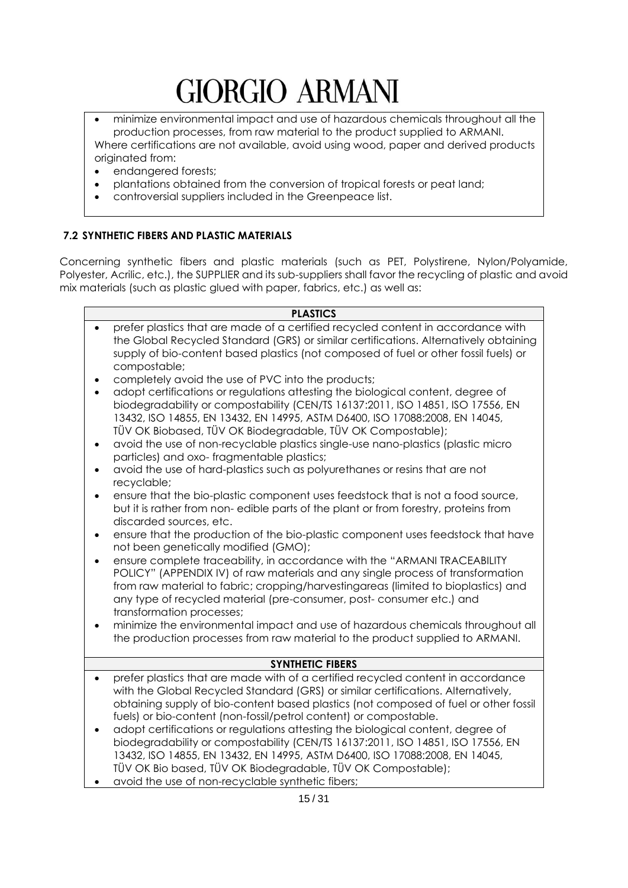• minimize environmental impact and use of hazardous chemicals throughout all the production processes, from raw material to the product supplied to ARMANI. Where certifications are not available, avoid using wood, paper and derived products originated from:

- endangered forests;
- plantations obtained from the conversion of tropical forests or peat land;
- controversial suppliers included in the Greenpeace list.

## <span id="page-14-0"></span>**7.2 SYNTHETIC FIBERS AND PLASTIC MATERIALS**

Concerning synthetic fibers and plastic materials (such as PET, Polystirene, Nylon/Polyamide, Polyester, Acrilic, etc.), the SUPPLIER and its sub-suppliers shall favor the recycling of plastic and avoid mix materials (such as plastic glued with paper, fabrics, etc.) as well as:

#### **PLASTICS**

- prefer plastics that are made of a certified recycled content in accordance with the Global Recycled Standard (GRS) or similar certifications. Alternatively obtaining supply of bio-content based plastics (not composed of fuel or other fossil fuels) or compostable;
- completely avoid the use of PVC into the products;
- adopt certifications or regulations attesting the biological content, degree of biodegradability or compostability (CEN/TS 16137:2011, ISO 14851, ISO 17556, EN 13432, ISO 14855, EN 13432, EN 14995, ASTM D6400, ISO 17088:2008, EN 14045, TÜV OK Biobased, TÜV OK Biodegradable, TÜV OK Compostable);
- avoid the use of non-recyclable plastics single-use nano-plastics (plastic micro particles) and oxo- fragmentable plastics;
- avoid the use of hard-plastics such as polyurethanes or resins that are not recyclable;
- ensure that the bio-plastic component uses feedstock that is not a food source, but it is rather from non- edible parts of the plant or from forestry, proteins from discarded sources, etc.
- ensure that the production of the bio-plastic component uses feedstock that have not been genetically modified (GMO);
- ensure complete traceability, in accordance with the "ARMANI TRACEABILITY" POLICY" (APPENDIX IV) of raw materials and any single process of transformation from raw material to fabric; cropping/harvestingareas (limited to bioplastics) and any type of recycled material (pre-consumer, post- consumer etc.) and transformation processes;
- minimize the environmental impact and use of hazardous chemicals throughout all the production processes from raw material to the product supplied to ARMANI.

#### **SYNTHETIC FIBERS**

- prefer plastics that are made with of a certified recycled content in accordance with the Global Recycled Standard (GRS) or similar certifications. Alternatively, obtaining supply of bio-content based plastics (not composed of fuel or other fossil fuels) or bio-content (non-fossil/petrol content) or compostable.
- adopt certifications or regulations attesting the biological content, degree of biodegradability or compostability (CEN/TS 16137:2011, ISO 14851, ISO 17556, EN 13432, ISO 14855, EN 13432, EN 14995, ASTM D6400, ISO 17088:2008, EN 14045, TÜV OK Bio based, TÜV OK Biodegradable, TÜV OK Compostable);
- avoid the use of non-recyclable synthetic fibers;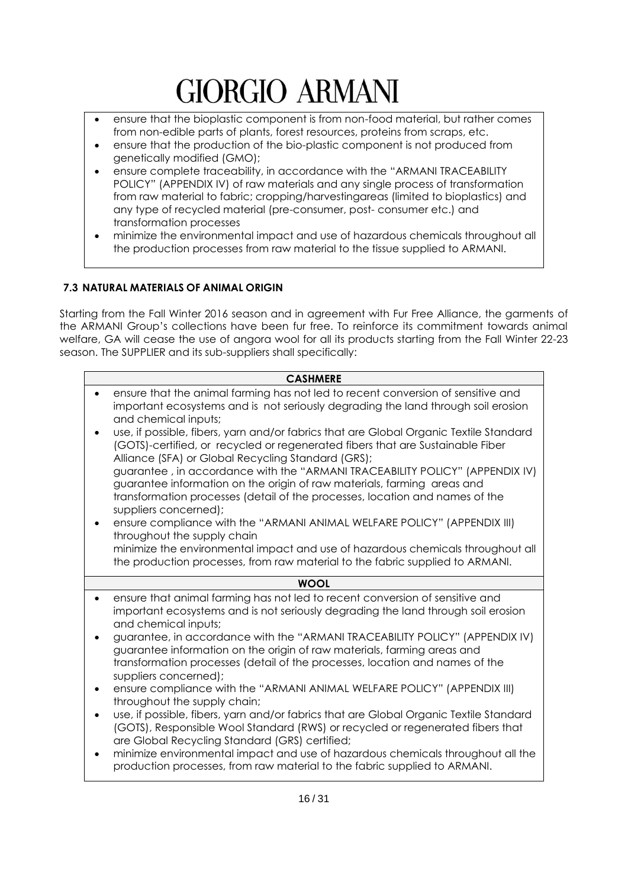- ensure that the bioplastic component is from non-food material, but rather comes from non-edible parts of plants, forest resources, proteins from scraps, etc.
- ensure that the production of the bio-plastic component is not produced from genetically modified (GMO);
- ensure complete traceability, in accordance with the "ARMANI TRACEABILITY POLICY" (APPENDIX IV) of raw materials and any single process of transformation from raw material to fabric; cropping/harvestingareas (limited to bioplastics) and any type of recycled material (pre-consumer, post- consumer etc.) and transformation processes
- minimize the environmental impact and use of hazardous chemicals throughout all the production processes from raw material to the tissue supplied to ARMANI.

## <span id="page-15-0"></span>**7.3 NATURAL MATERIALS OF ANIMAL ORIGIN**

Starting from the Fall Winter 2016 season and in agreement with Fur Free Alliance, the garments of the ARMANI Group's collections have been fur free. To reinforce its commitment towards animal welfare, GA will cease the use of angora wool for all its products starting from the Fall Winter 22-23 season. The SUPPLIER and its sub-suppliers shall specifically:

| <b>CASHMERE</b>                                                                                                                                                                                                                                                  |
|------------------------------------------------------------------------------------------------------------------------------------------------------------------------------------------------------------------------------------------------------------------|
| ensure that the animal farming has not led to recent conversion of sensitive and<br>important ecosystems and is not seriously degrading the land through soil erosion<br>and chemical inputs;                                                                    |
| use, if possible, fibers, yarn and/or fabrics that are Global Organic Textile Standard<br>(GOTS)-certified, or recycled or regenerated fibers that are Sustainable Fiber<br>Alliance (SFA) or Global Recycling Standard (GRS);                                   |
| guarantee, in accordance with the "ARMANI TRACEABILITY POLICY" (APPENDIX IV)<br>guarantee information on the origin of raw materials, farming areas and<br>transformation processes (detail of the processes, location and names of the<br>suppliers concerned); |
| ensure compliance with the "ARMANI ANIMAL WELFARE POLICY" (APPENDIX III)<br>throughout the supply chain                                                                                                                                                          |
| minimize the environmental impact and use of hazardous chemicals throughout all<br>the production processes, from raw material to the fabric supplied to ARMANI.                                                                                                 |
|                                                                                                                                                                                                                                                                  |
| <b>WOOL</b>                                                                                                                                                                                                                                                      |
| ensure that animal farming has not led to recent conversion of sensitive and<br>important ecosystems and is not seriously degrading the land through soil erosion<br>and chemical inputs;                                                                        |
| guarantee, in accordance with the "ARMANI TRACEABILITY POLICY" (APPENDIX IV)<br>guarantee information on the origin of raw materials, farming areas and                                                                                                          |
| transformation processes (detail of the processes, location and names of the<br>suppliers concerned);                                                                                                                                                            |
| ensure compliance with the "ARMANI ANIMAL WELFARE POLICY" (APPENDIX III)<br>throughout the supply chain;                                                                                                                                                         |
| use, if possible, fibers, yarn and/or fabrics that are Global Organic Textile Standard<br>(GOTS), Responsible Wool Standard (RWS) or recycled or regenerated fibers that<br>are Global Recycling Standard (GRS) certified;                                       |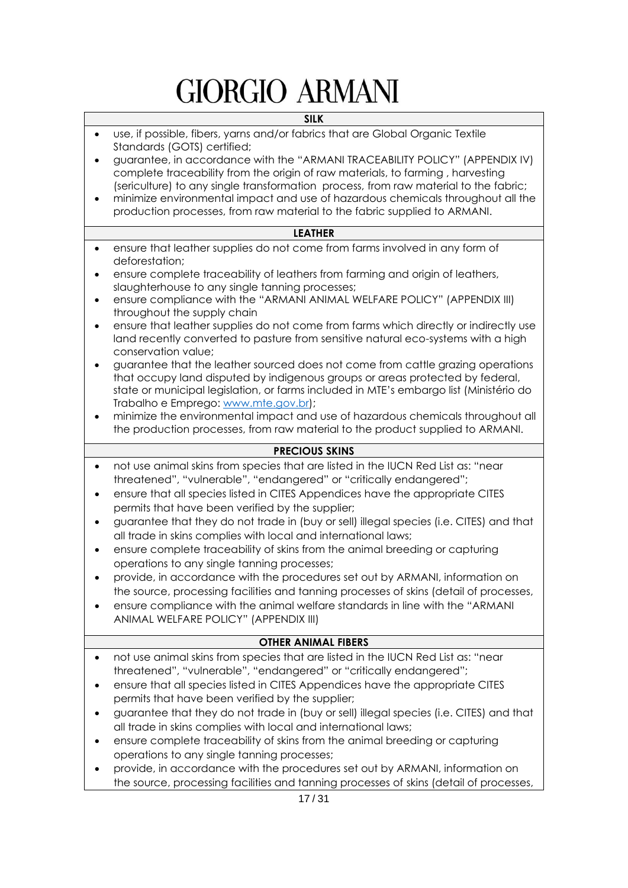#### **SILK**

- use, if possible, fibers, yarns and/or fabrics that are Global Organic Textile Standards (GOTS) certified;
- guarantee, in accordance with the "ARMANI TRACEABILITY POLICY" (APPENDIX IV) complete traceability from the origin of raw materials, to farming , harvesting (sericulture) to any single transformation process, from raw material to the fabric;
- minimize environmental impact and use of hazardous chemicals throughout all the production processes, from raw material to the fabric supplied to ARMANI.

#### **LEATHER**

- ensure that leather supplies do not come from farms involved in any form of deforestation;
- ensure complete traceability of leathers from farming and origin of leathers, slaughterhouse to any single tanning processes;
- ensure compliance with the "ARMANI ANIMAL WELFARE POLICY" (APPENDIX III) throughout the supply chain
- ensure that leather supplies do not come from farms which directly or indirectly use land recently converted to pasture from sensitive natural eco-systems with a high conservation value;
- guarantee that the leather sourced does not come from cattle grazing operations that occupy land disputed by indigenous groups or areas protected by federal, state or municipal legislation, or farms included in MTE's embargo list (Ministério do Trabalho e Emprego: [www.mte.gov.br\)](http://www.mte.gov.br/);
- minimize the environmental impact and use of hazardous chemicals throughout all the production processes, from raw material to the product supplied to ARMANI.

#### **PRECIOUS SKINS**

- not use animal skins from species that are listed in the IUCN Red List as: "near threatened", "vulnerable", "endangered" or "critically endangered";
- ensure that all species listed in CITES Appendices have the appropriate CITES permits that have been verified by the supplier;
- guarantee that they do not trade in (buy or sell) illegal species (i.e. CITES) and that all trade in skins complies with local and international laws;
- ensure complete traceability of skins from the animal breeding or capturing operations to any single tanning processes;
- provide, in accordance with the procedures set out by ARMANI, information on the source, processing facilities and tanning processes of skins (detail of processes,
- ensure compliance with the animal welfare standards in line with the "ARMANI ANIMAL WELFARE POLICY" (APPENDIX III)

#### **OTHER ANIMAL FIBERS**

- not use animal skins from species that are listed in the IUCN Red List as: "near threatened", "vulnerable", "endangered" or "critically endangered";
- ensure that all species listed in CITES Appendices have the appropriate CITES permits that have been verified by the supplier;
- guarantee that they do not trade in (buy or sell) illegal species (i.e. CITES) and that all trade in skins complies with local and international laws;
- ensure complete traceability of skins from the animal breeding or capturing operations to any single tanning processes;
- provide, in accordance with the procedures set out by ARMANI, information on the source, processing facilities and tanning processes of skins (detail of processes,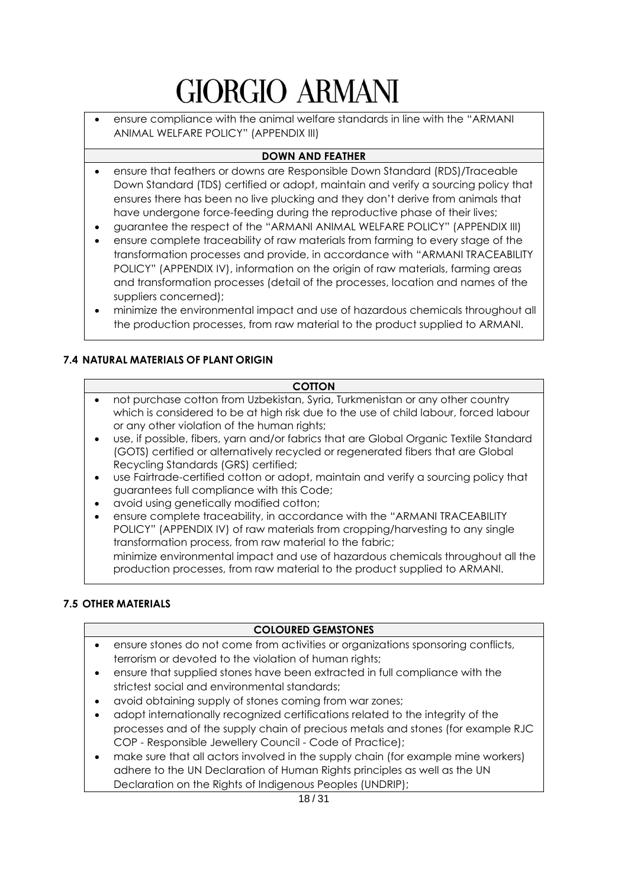• ensure compliance with the animal welfare standards in line with the "ARMANI ANIMAL WELFARE POLICY" (APPENDIX III)

## **DOWN AND FEATHER**

- ensure that feathers or downs are Responsible Down Standard (RDS)/Traceable Down Standard (TDS) certified or adopt, maintain and verify a sourcing policy that ensures there has been no live plucking and they don't derive from animals that have undergone force-feeding during the reproductive phase of their lives;
- guarantee the respect of the "ARMANI ANIMAL WELFARE POLICY" (APPENDIX III)
- ensure complete traceability of raw materials from farming to every stage of the transformation processes and provide, in accordance with "ARMANI TRACEABILITY POLICY" (APPENDIX IV), information on the origin of raw materials, farming areas and transformation processes (detail of the processes, location and names of the suppliers concerned);
- minimize the environmental impact and use of hazardous chemicals throughout all the production processes, from raw material to the product supplied to ARMANI.

## <span id="page-17-0"></span>**7.4 NATURAL MATERIALS OF PLANT ORIGIN**

#### **COTTON**

- not purchase cotton from Uzbekistan, Syria, Turkmenistan or any other country which is considered to be at high risk due to the use of child labour, forced labour or any other violation of the human rights;
- use, if possible, fibers, yarn and/or fabrics that are Global Organic Textile Standard (GOTS) certified or alternatively recycled or regenerated fibers that are Global Recycling Standards (GRS) certified;
- use Fairtrade-certified cotton or adopt, maintain and verify a sourcing policy that guarantees full compliance with this Code;
- avoid using genetically modified cotton;
- ensure complete traceability, in accordance with the "ARMANI TRACEABILITY POLICY" (APPENDIX IV) of raw materials from cropping/harvesting to any single transformation process, from raw material to the fabric; minimize environmental impact and use of hazardous chemicals throughout all the production processes, from raw material to the product supplied to ARMANI.

#### <span id="page-17-1"></span>**7.5 OTHER MATERIALS**

## **COLOURED GEMSTONES**

- ensure stones do not come from activities or organizations sponsoring conflicts, terrorism or devoted to the violation of human rights;
- ensure that supplied stones have been extracted in full compliance with the strictest social and environmental standards;
- avoid obtaining supply of stones coming from war zones;
- adopt internationally recognized certifications related to the integrity of the processes and of the supply chain of precious metals and stones (for example RJC COP - Responsible Jewellery Council - Code of Practice);
- make sure that all actors involved in the supply chain (for example mine workers) adhere to the UN Declaration of Human Rights principles as well as the UN Declaration on the Rights of Indigenous Peoples (UNDRIP);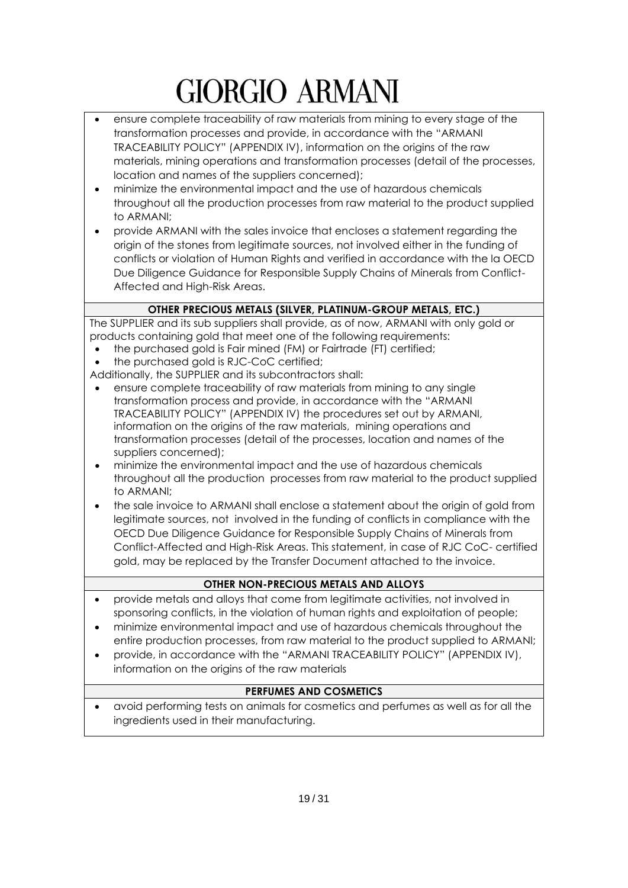- ensure complete traceability of raw materials from mining to every stage of the transformation processes and provide, in accordance with the "ARMANI TRACEABILITY POLICY" (APPENDIX IV), information on the origins of the raw materials, mining operations and transformation processes (detail of the processes, location and names of the suppliers concerned);
- minimize the environmental impact and the use of hazardous chemicals throughout all the production processes from raw material to the product supplied to ARMANI;
- provide ARMANI with the sales invoice that encloses a statement regarding the origin of the stones from legitimate sources, not involved either in the funding of conflicts or violation of Human Rights and verified in accordance with the la OECD Due Diligence Guidance for Responsible Supply Chains of Minerals from Conflict-Affected and High-Risk Areas.

## **OTHER PRECIOUS METALS (SILVER, PLATINUM-GROUP METALS, ETC.)**

The SUPPLIER and its sub suppliers shall provide, as of now, ARMANI with only gold or products containing gold that meet one of the following requirements:

- the purchased gold is Fair mined (FM) or Fairtrade (FT) certified;
- the purchased gold is RJC-CoC certified;

Additionally, the SUPPLIER and its subcontractors shall:

- ensure complete traceability of raw materials from mining to any single transformation process and provide, in accordance with the "ARMANI TRACEABILITY POLICY" (APPENDIX IV) the procedures set out by ARMANI, information on the origins of the raw materials, mining operations and transformation processes (detail of the processes, location and names of the suppliers concerned);
- minimize the environmental impact and the use of hazardous chemicals throughout all the production processes from raw material to the product supplied to ARMANI;
- the sale invoice to ARMANI shall enclose a statement about the origin of gold from legitimate sources, not involved in the funding of conflicts in compliance with the OECD Due Diligence Guidance for Responsible Supply Chains of Minerals from Conflict-Affected and High-Risk Areas. This statement, in case of RJC CoC- certified gold, may be replaced by the Transfer Document attached to the invoice.

## **OTHER NON-PRECIOUS METALS AND ALLOYS**

- provide metals and alloys that come from legitimate activities, not involved in sponsoring conflicts, in the violation of human rights and exploitation of people;
- minimize environmental impact and use of hazardous chemicals throughout the entire production processes, from raw material to the product supplied to ARMANI;
- provide, in accordance with the "ARMANI TRACEABILITY POLICY" (APPENDIX IV), information on the origins of the raw materials

## **PERFUMES AND COSMETICS**

• avoid performing tests on animals for cosmetics and perfumes as well as for all the ingredients used in their manufacturing.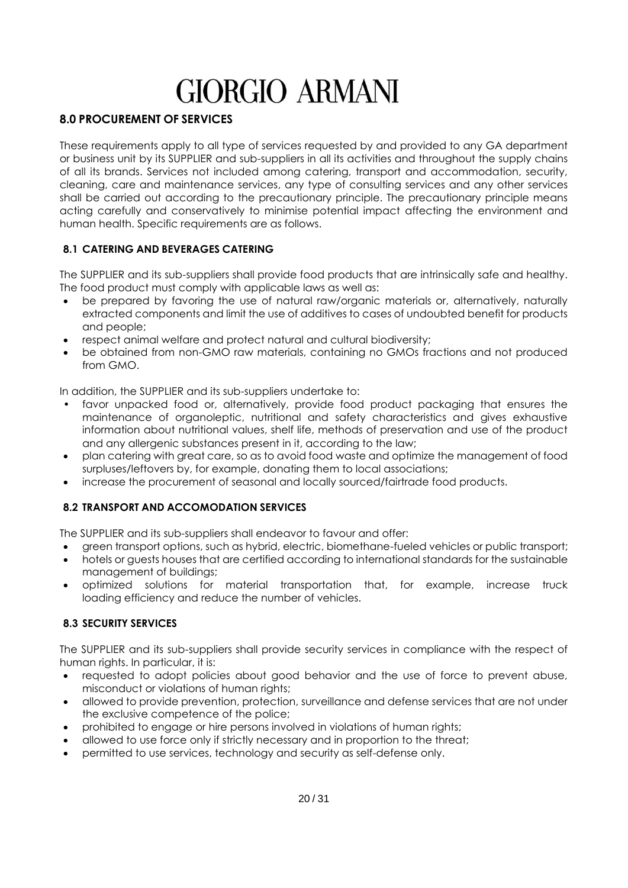## <span id="page-19-0"></span>**8.0 PROCUREMENT OF SERVICES**

These requirements apply to all type of services requested by and provided to any GA department or business unit by its SUPPLIER and sub-suppliers in all its activities and throughout the supply chains of all its brands. Services not included among catering, transport and accommodation, security, cleaning, care and maintenance services, any type of consulting services and any other services shall be carried out according to the precautionary principle. The precautionary principle means acting carefully and conservatively to minimise potential impact affecting the environment and human health. Specific requirements are as follows.

## <span id="page-19-1"></span>**8.1 CATERING AND BEVERAGES CATERING**

The SUPPLIER and its sub-suppliers shall provide food products that are intrinsically safe and healthy. The food product must comply with applicable laws as well as:

- be prepared by favoring the use of natural raw/organic materials or, alternatively, naturally extracted components and limit the use of additives to cases of undoubted benefit for products and people;
- respect animal welfare and protect natural and cultural biodiversity;
- be obtained from non-GMO raw materials, containing no GMOs fractions and not produced from GMO.

In addition, the SUPPLIER and its sub-suppliers undertake to:

- favor unpacked food or, alternatively, provide food product packaging that ensures the maintenance of organoleptic, nutritional and safety characteristics and gives exhaustive information about nutritional values, shelf life, methods of preservation and use of the product and any allergenic substances present in it, according to the law;
- plan catering with great care, so as to avoid food waste and optimize the management of food surpluses/leftovers by, for example, donating them to local associations;
- <span id="page-19-2"></span>• increase the procurement of seasonal and locally sourced/fairtrade food products.

## **8.2 TRANSPORT AND ACCOMODATION SERVICES**

The SUPPLIER and its sub-suppliers shall endeavor to favour and offer:

- green transport options, such as hybrid, electric, biomethane-fueled vehicles or public transport;
- hotels or guests houses that are certified according to international standards for the sustainable management of buildings;
- optimized solutions for material transportation that, for example, increase truck loading efficiency and reduce the number of vehicles.

#### <span id="page-19-3"></span>**8.3 SECURITY SERVICES**

The SUPPLIER and its sub-suppliers shall provide security services in compliance with the respect of human rights. In particular, it is:

- requested to adopt policies about good behavior and the use of force to prevent abuse, misconduct or violations of human rights;
- allowed to provide prevention, protection, surveillance and defense services that are not under the exclusive competence of the police;
- prohibited to engage or hire persons involved in violations of human rights;
- allowed to use force only if strictly necessary and in proportion to the threat;
- permitted to use services, technology and security as self-defense only.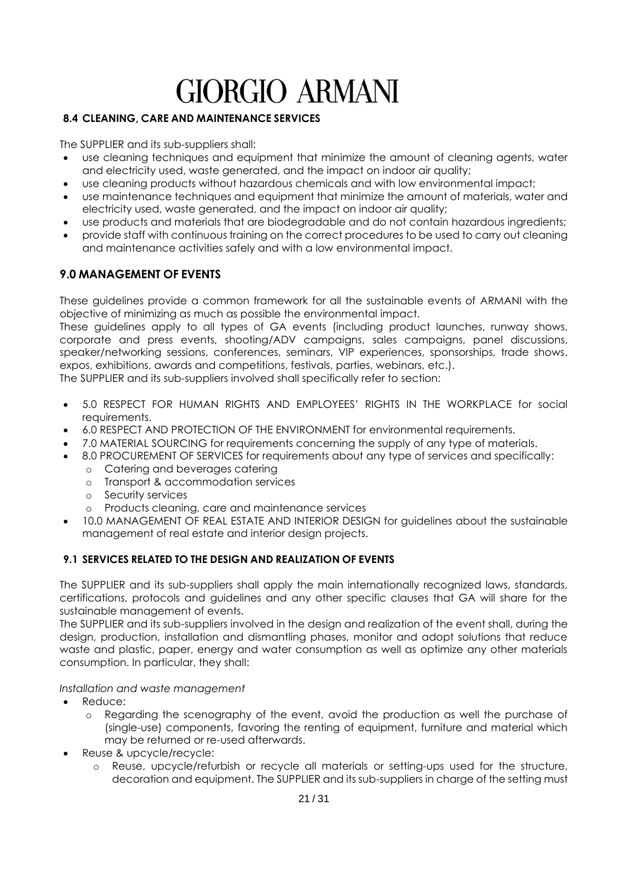### <span id="page-20-0"></span>**8.4 CLEANING, CARE AND MAINTENANCE SERVICES**

The SUPPLIER and its sub-suppliers shall:

- use cleaning techniques and equipment that minimize the amount of cleaning agents, water and electricity used, waste generated, and the impact on indoor air quality;
- use cleaning products without hazardous chemicals and with low environmental impact;
- use maintenance techniques and equipment that minimize the amount of materials, water and electricity used, waste generated, and the impact on indoor air quality;
- use products and materials that are biodegradable and do not contain hazardous ingredients;
- provide staff with continuous training on the correct procedures to be used to carry out cleaning and maintenance activities safely and with a low environmental impact.

## <span id="page-20-1"></span>**9.0 MANAGEMENT OF EVENTS**

These guidelines provide a common framework for all the sustainable events of ARMANI with the objective of minimizing as much as possible the environmental impact.

These guidelines apply to all types of GA events (including product launches, runway shows, corporate and press events, shooting/ADV campaigns, sales campaigns, panel discussions, speaker/networking sessions, conferences, seminars, VIP experiences, sponsorships, trade shows, expos, exhibitions, awards and competitions, festivals, parties, webinars, etc.).

The SUPPLIER and its sub-suppliers involved shall specifically refer to section:

- 5.0 RESPECT FOR HUMAN RIGHTS AND EMPLOYEES' RIGHTS IN THE WORKPLACE for social requirements.
- 6.0 RESPECT AND PROTECTION OF THE ENVIRONMENT for environmental requirements.
- 7.0 MATERIAL SOURCING for requirements concerning the supply of any type of materials.
- 8.0 PROCUREMENT OF SERVICES for requirements about any type of services and specifically:
	- o Catering and beverages catering
	- o Transport & accommodation services
	- o Security services
	- o Products cleaning, care and maintenance services
- 10.0 MANAGEMENT OF REAL ESTATE AND INTERIOR DESIGN for guidelines about the sustainable management of real estate and interior design projects.

#### <span id="page-20-2"></span>**9.1 SERVICES RELATED TO THE DESIGN AND REALIZATION OF EVENTS**

The SUPPLIER and its sub-suppliers shall apply the main internationally recognized laws, standards, certifications, protocols and guidelines and any other specific clauses that GA will share for the sustainable management of events.

The SUPPLIER and its sub-suppliers involved in the design and realization of the event shall, during the design, production, installation and dismantling phases, monitor and adopt solutions that reduce waste and plastic, paper, energy and water consumption as well as optimize any other materials consumption. In particular, they shall:

*Installation and waste management*

- Reduce:
	- o Regarding the scenography of the event, avoid the production as well the purchase of (single-use) components, favoring the renting of equipment, furniture and material which may be returned or re-used afterwards.
- Reuse & upcycle/recycle:
	- o Reuse, upcycle/refurbish or recycle all materials or setting-ups used for the structure, decoration and equipment. The SUPPLIER and its sub-suppliers in charge of the setting must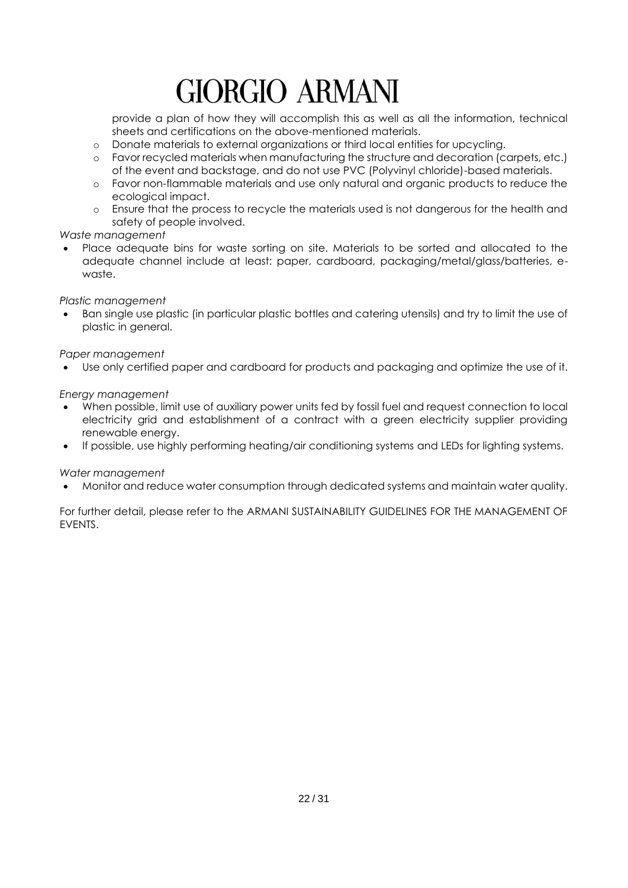provide a plan of how they will accomplish this as well as all the information, technical sheets and certifications on the above-mentioned materials.

- o Donate materials to external organizations or third local entities for upcycling.
- o Favor recycled materials when manufacturing the structure and decoration (carpets, etc.) of the event and backstage, and do not use PVC (Polyvinyl chloride)-based materials.
- o Favor non-flammable materials and use only natural and organic products to reduce the ecological impact.
- o Ensure that the process to recycle the materials used is not dangerous for the health and safety of people involved.

#### *Waste management*

• Place adequate bins for waste sorting on site. Materials to be sorted and allocated to the adequate channel include at least: paper, cardboard, packaging/metal/glass/batteries, ewaste.

*Plastic management* 

• Ban single use plastic (in particular plastic bottles and catering utensils) and try to limit the use of plastic in general.

*Paper management* 

• Use only certified paper and cardboard for products and packaging and optimize the use of it.

#### *Energy management*

- When possible, limit use of auxiliary power units fed by fossil fuel and request connection to local electricity grid and establishment of a contract with a green electricity supplier providing renewable energy.
- If possible, use highly performing heating/air conditioning systems and LEDs for lighting systems.

#### *Water management*

• Monitor and reduce water consumption through dedicated systems and maintain water quality.

For further detail, please refer to the ARMANI SUSTAINABILITY GUIDELINES FOR THE MANAGEMENT OF EVENTS.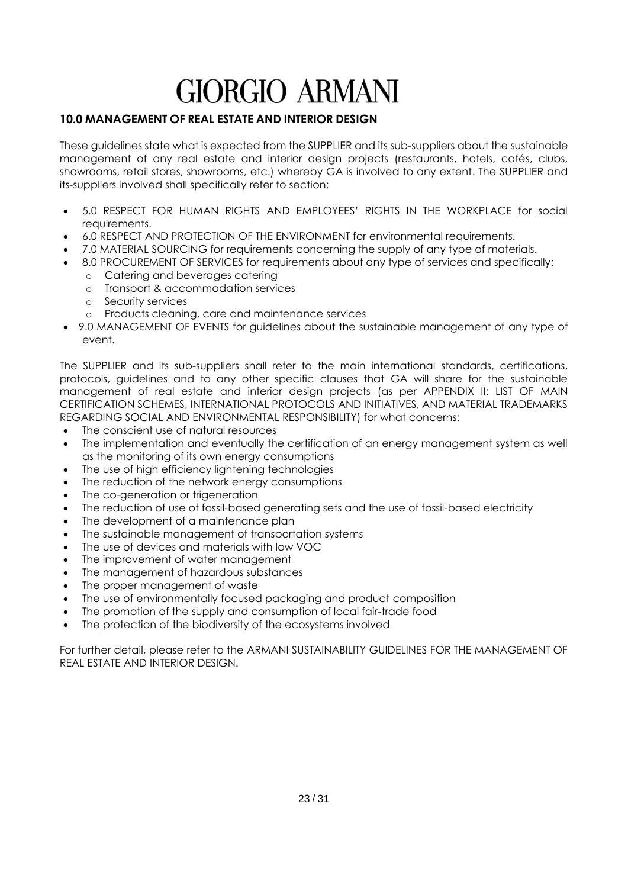## <span id="page-22-0"></span>**10.0 MANAGEMENT OF REAL ESTATE AND INTERIOR DESIGN**

These guidelines state what is expected from the SUPPLIER and its sub-suppliers about the sustainable management of any real estate and interior design projects (restaurants, hotels, cafés, clubs, showrooms, retail stores, showrooms, etc.) whereby GA is involved to any extent. The SUPPLIER and its-suppliers involved shall specifically refer to section:

- 5.0 RESPECT FOR HUMAN RIGHTS AND EMPLOYEES' RIGHTS IN THE WORKPLACE for social requirements.
- 6.0 RESPECT AND PROTECTION OF THE ENVIRONMENT for environmental requirements.
- 7.0 MATERIAL SOURCING for requirements concerning the supply of any type of materials.
- 8.0 PROCUREMENT OF SERVICES for requirements about any type of services and specifically:
	- o Catering and beverages catering
	- o Transport & accommodation services
	- o Security services
	- o Products cleaning, care and maintenance services
- 9.0 MANAGEMENT OF EVENTS for guidelines about the sustainable management of any type of event.

The SUPPLIER and its sub-suppliers shall refer to the main international standards, certifications, protocols, guidelines and to any other specific clauses that GA will share for the sustainable management of real estate and interior design projects (as per APPENDIX II: LIST OF MAIN CERTIFICATION SCHEMES, INTERNATIONAL PROTOCOLS AND INITIATIVES, AND MATERIAL TRADEMARKS REGARDING SOCIAL AND ENVIRONMENTAL RESPONSIBILITY) for what concerns:

- The conscient use of natural resources
- The implementation and eventually the certification of an energy management system as well as the monitoring of its own energy consumptions
- The use of high efficiency lightening technologies
- The reduction of the network energy consumptions
- The co-generation or trigeneration
- The reduction of use of fossil-based generating sets and the use of fossil-based electricity
- The development of a maintenance plan
- The sustainable management of transportation systems
- The use of devices and materials with low VOC
- The improvement of water management
- The management of hazardous substances
- The proper management of waste
- The use of environmentally focused packaging and product composition
- The promotion of the supply and consumption of local fair-trade food
- The protection of the biodiversity of the ecosystems involved

For further detail, please refer to the ARMANI SUSTAINABILITY GUIDELINES FOR THE MANAGEMENT OF REAL ESTATE AND INTERIOR DESIGN.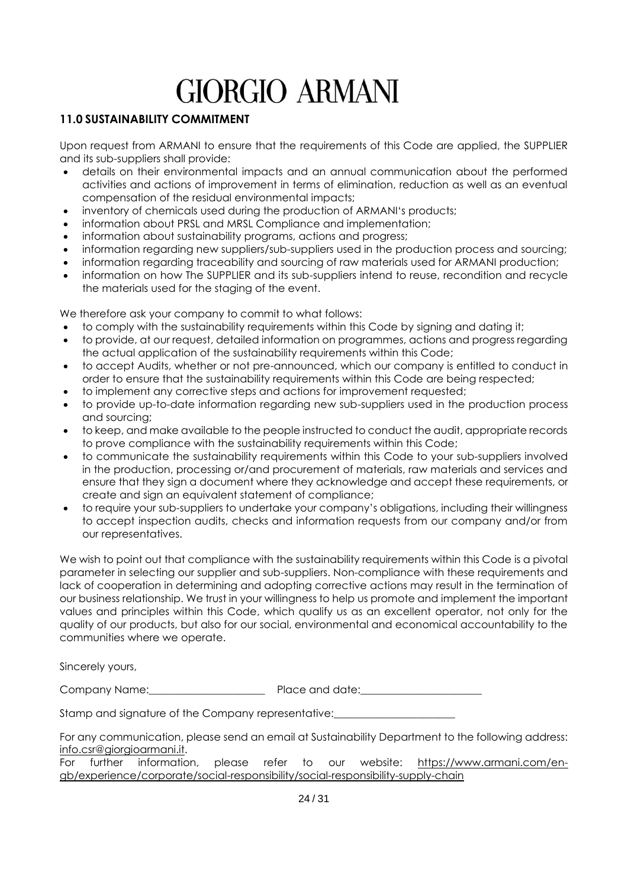## <span id="page-23-0"></span>**11.0 SUSTAINABILITY COMMITMENT**

Upon request from ARMANI to ensure that the requirements of this Code are applied, the SUPPLIER and its sub-suppliers shall provide:

- details on their environmental impacts and an annual communication about the performed activities and actions of improvement in terms of elimination, reduction as well as an eventual compensation of the residual environmental impacts;
- inventory of chemicals used during the production of ARMANI's products;
- information about PRSL and MRSL Compliance and implementation;
- information about sustainability programs, actions and progress;
- information regarding new suppliers/sub-suppliers used in the production process and sourcing;
- information regarding traceability and sourcing of raw materials used for ARMANI production;
- information on how The SUPPLIER and its sub-suppliers intend to reuse, recondition and recycle the materials used for the staging of the event.

We therefore ask your company to commit to what follows:

- to comply with the sustainability requirements within this Code by signing and dating it;
- to provide, at our request, detailed information on programmes, actions and progress regarding the actual application of the sustainability requirements within this Code;
- to accept Audits, whether or not pre-announced, which our company is entitled to conduct in order to ensure that the sustainability requirements within this Code are being respected;
- to implement any corrective steps and actions for improvement requested;
- to provide up-to-date information regarding new sub-suppliers used in the production process and sourcing;
- to keep, and make available to the people instructed to conduct the audit, appropriate records to prove compliance with the sustainability requirements within this Code;
- to communicate the sustainability requirements within this Code to your sub-suppliers involved in the production, processing or/and procurement of materials, raw materials and services and ensure that they sign a document where they acknowledge and accept these requirements, or create and sign an equivalent statement of compliance;
- to require your sub-suppliers to undertake your company's obligations, including their willingness to accept inspection audits, checks and information requests from our company and/or from our representatives.

We wish to point out that compliance with the sustainability requirements within this Code is a pivotal parameter in selecting our supplier and sub-suppliers. Non-compliance with these requirements and lack of cooperation in determining and adopting corrective actions may result in the termination of our business relationship. We trust in your willingness to help us promote and implement the important values and principles within this Code, which qualify us as an excellent operator, not only for the quality of our products, but also for our social, environmental and economical accountability to the communities where we operate.

Sincerely yours,

Company Name: example and date:

Stamp and signature of the Company representative:

For any communication, please send an email at Sustainability Department to the following address: [info.csr@giorgioarmani.it.](mailto:Info.csr@giorgioarmani.it)

For further information, please refer to our website: [https://www.armani.com/en](https://www.armani.com/en-gb/experience/corporate/social-responsibility/social-responsibility-supply-chain)[gb/experience/corporate/social-responsibility/social-responsibility-supply-chain](https://www.armani.com/en-gb/experience/corporate/social-responsibility/social-responsibility-supply-chain)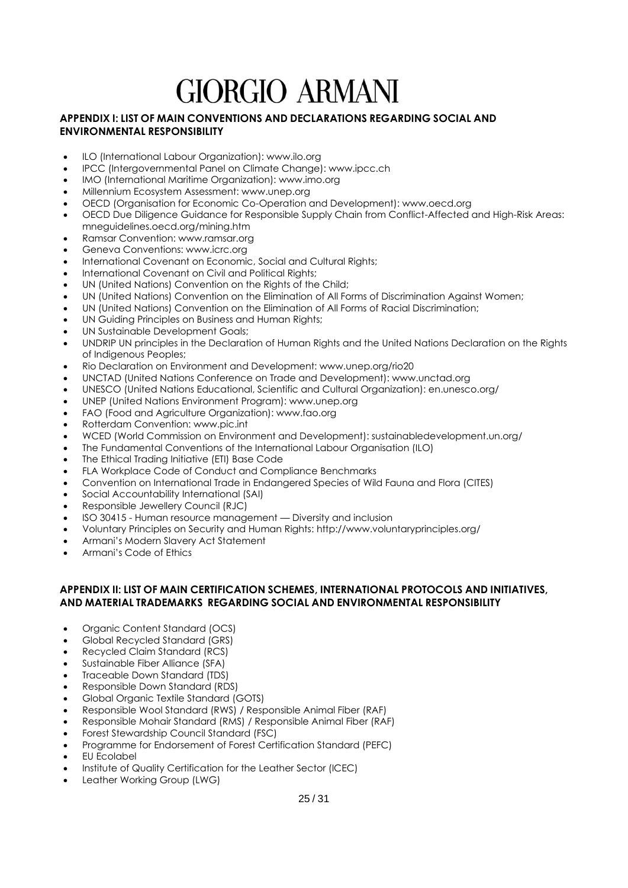#### <span id="page-24-0"></span>**APPENDIX I: LIST OF MAIN CONVENTIONS AND DECLARATIONS REGARDING SOCIAL AND ENVIRONMENTAL RESPONSIBILITY**

- ILO (International Labour Organization): www.ilo.org
- IPCC (Intergovernmental Panel on Climate Change): www.ipcc.ch
- IMO (International Maritime Organization): www.imo.org
- Millennium Ecosystem Assessment: www.unep.org
- OECD (Organisation for Economic Co-Operation and Development): www.oecd.org
- OECD Due Diligence Guidance for Responsible Supply Chain from Conflict-Affected and High-Risk Areas: mneguidelines.oecd.org/mining.htm
- Ramsar Convention: www.ramsar.org
- Geneva Conventions: www.icrc.org
- International Covenant on Economic, Social and Cultural Rights;
- International Covenant on Civil and Political Rights;
- UN (United Nations) Convention on the Rights of the Child;
- UN (United Nations) Convention on the Elimination of All Forms of Discrimination Against Women;
- UN (United Nations) Convention on the Elimination of All Forms of Racial Discrimination;
- UN Guiding Principles on Business and Human Rights;
- UN Sustainable Development Goals;
- UNDRIP UN principles in the Declaration of Human Rights and the United Nations Declaration on the Rights of Indigenous Peoples;
- Rio Declaration on Environment and Development: www.unep.org/rio20
- UNCTAD (United Nations Conference on Trade and Development): www.unctad.org
- UNESCO (United Nations Educational, Scientific and Cultural Organization): en.unesco.org/
- UNEP (United Nations Environment Program): www.unep.org
- FAO (Food and Agriculture Organization): www.fao.org
- Rotterdam Convention: www.pic.int
- WCED (World Commission on Environment and Development): sustainabledevelopment.un.org/
- The Fundamental Conventions of the International Labour Organisation (ILO)
- The Ethical Trading Initiative (ETI) Base Code
- FLA Workplace Code of Conduct and Compliance Benchmarks
- Convention on International Trade in Endangered Species of Wild Fauna and Flora (CITES)
- Social Accountability International (SAI)
- Responsible Jewellery Council (RJC)
- ISO 30415 Human resource management Diversity and inclusion
- Voluntary Principles on Security and Human Rights: http://www.voluntaryprinciples.org/
- Armani's Modern Slavery Act Statement
- Armani's Code of Ethics

#### <span id="page-24-1"></span>**APPENDIX II: LIST OF MAIN CERTIFICATION SCHEMES, INTERNATIONAL PROTOCOLS AND INITIATIVES, AND MATERIAL TRADEMARKS REGARDING SOCIAL AND ENVIRONMENTAL RESPONSIBILITY**

- [Organic Content Standard \(OCS\)](https://textileexchange.org/standards/organic-content-standard/)
- [Global Recycled Standard \(GRS\)](https://textileexchange.org/standards/recycled-claim-standard-global-recycled-standard/)
- [Recycled Claim Standard \(RCS\)](https://textileexchange.org/standards/recycled-claim-standard-global-recycled-standard/)
- Sustainable Fiber Alliance (SFA)
- Traceable Down Standard (TDS)
- [Responsible Down Standard \(RDS\)](https://textileexchange.org/standards/responsible-down/)
- Global Organic Textile Standard (GOTS)
- [Responsible Wool Standard \(RWS\)](https://textileexchange.org/standards/responsible-wool/) / Responsible Animal Fiber (RAF)
- [Responsible Mohair Standard \(RMS\)](https://textileexchange.org/standards/responsible-mohair/) / Responsible Animal Fiber (RAF)
- Forest Stewardship Council Standard (FSC)
- Programme for Endorsement of Forest Certification Standard (PEFC)
- EU Ecolabel
- Institute of Quality Certification for the Leather Sector (ICEC)
- Leather Working Group (LWG)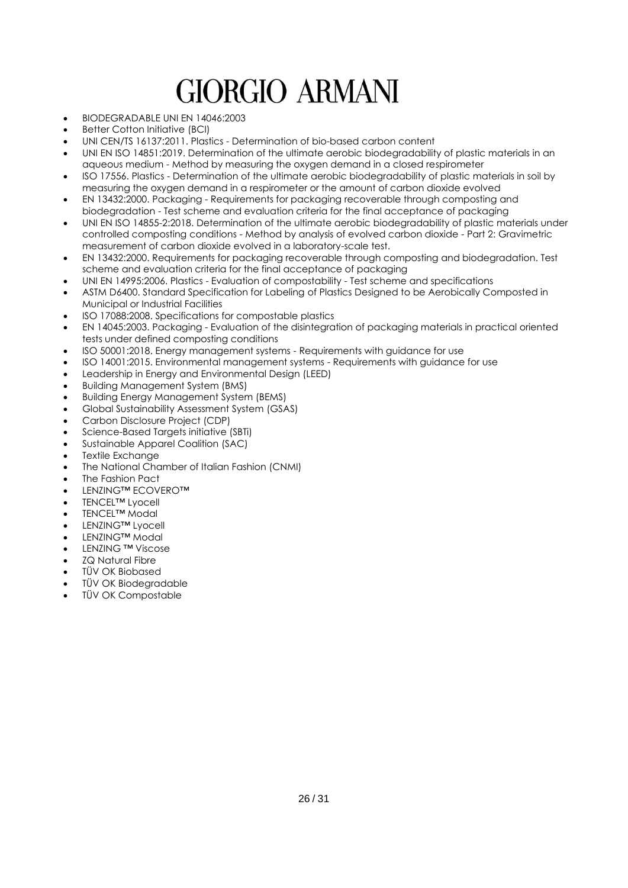- BIODEGRADABLE UNI EN 14046:2003
- **Better Cotton Initiative (BCI)**
- UNI CEN/TS 16137:2011. Plastics Determination of bio-based carbon content
- UNI EN ISO 14851:2019. Determination of the ultimate aerobic biodegradability of plastic materials in an aqueous medium - Method by measuring the oxygen demand in a closed respirometer
- ISO 17556. Plastics Determination of the ultimate aerobic biodegradability of plastic materials in soil by measuring the oxygen demand in a respirometer or the amount of carbon dioxide evolved
- EN 13432:2000. Packaging Requirements for packaging recoverable through composting and biodegradation - Test scheme and evaluation criteria for the final acceptance of packaging
- UNI EN ISO 14855-2:2018. Determination of the ultimate aerobic biodegradability of plastic materials under controlled composting conditions - Method by analysis of evolved carbon dioxide - Part 2: Gravimetric measurement of carbon dioxide evolved in a laboratory-scale test.
- EN 13432:2000. Requirements for packaging recoverable through composting and biodegradation. Test scheme and evaluation criteria for the final acceptance of packaging
- UNI EN 14995:2006. Plastics Evaluation of compostability Test scheme and specifications
- ASTM D6400. Standard Specification for Labeling of Plastics Designed to be Aerobically Composted in Municipal or Industrial Facilities
- ISO 17088:2008. Specifications for compostable plastics
- EN 14045:2003. Packaging Evaluation of the disintegration of packaging materials in practical oriented tests under defined composting conditions
- ISO 50001:2018. Energy management systems Requirements with guidance for use
- ISO 14001:2015. Environmental management systems Requirements with guidance for use
- Leadership in Energy and Environmental Design (LEED)
- Building Management System (BMS)
- Building Energy Management System (BEMS)
- [Global Sustainability Assessment System](http://gord.qa/uploads/formsnew/GSAS_Overview_07_for_web.pdf) (GSAS)
- Carbon Disclosure Project (CDP)
- Science-Based Targets initiative (SBTi)
- Sustainable Apparel Coalition (SAC)
- Textile Exchange
- The National Chamber of Italian Fashion (CNMI)
- The Fashion Pact
- LENZING™ ECOVERO™
- TENCEL™ Lyocell
- TENCEL<sup>™</sup> Modal
- LENZING<sup>™</sup> Lyocell
- LENZING™ Modal
- LENZING ™ Viscose
- ZQ Natural Fibre
- TÜV OK Biobased
- TÜV OK Biodegradable
- TÜV OK Compostable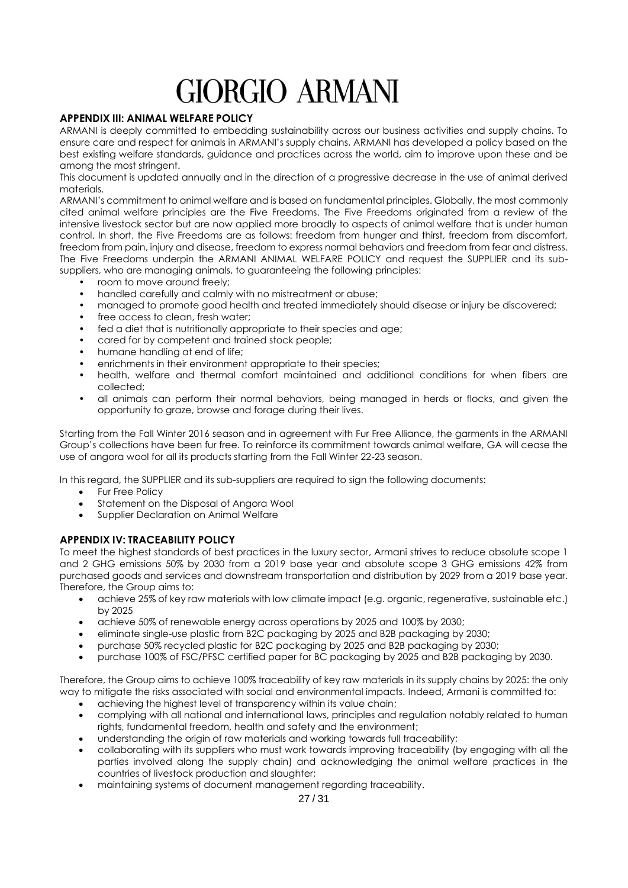#### <span id="page-26-0"></span>**APPENDIX III: ANIMAL WELFARE POLICY**

ARMANI is deeply committed to embedding sustainability across our business activities and supply chains. To ensure care and respect for animals in ARMANI's supply chains, ARMANI has developed a policy based on the best existing welfare standards, guidance and practices across the world, aim to improve upon these and be among the most stringent.

This document is updated annually and in the direction of a progressive decrease in the use of animal derived materials.

ARMANI's commitment to animal welfare and is based on fundamental principles. Globally, the most commonly cited animal welfare principles are the Five Freedoms. The Five Freedoms originated from a review of the intensive livestock sector but are now applied more broadly to aspects of animal welfare that is under human control. In short, the Five Freedoms are as follows: freedom from hunger and thirst, freedom from discomfort, freedom from pain, injury and disease, freedom to express normal behaviors and freedom from fear and distress. The Five Freedoms underpin the ARMANI ANIMAL WELFARE POLICY and request the SUPPLIER and its subsuppliers, who are managing animals, to guaranteeing the following principles:

- room to move around freely:
- handled carefully and calmly with no mistreatment or abuse;
- managed to promote good health and treated immediately should disease or injury be discovered;
- free access to clean, fresh water;
- fed a diet that is nutritionally appropriate to their species and age;
- cared for by competent and trained stock people;
- humane handling at end of life;
- enrichments in their environment appropriate to their species;
- health, welfare and thermal comfort maintained and additional conditions for when fibers are collected;
- all animals can perform their normal behaviors, being managed in herds or flocks, and given the opportunity to graze, browse and forage during their lives.

Starting from the Fall Winter 2016 season and in agreement with Fur Free Alliance, the garments in the ARMANI Group's collections have been fur free. To reinforce its commitment towards animal welfare, GA will cease the use of angora wool for all its products starting from the Fall Winter 22-23 season.

In this regard, the SUPPLIER and its sub-suppliers are required to sign the following documents:

- Fur Free Policy
- Statement on the Disposal of Angora Wool
- Supplier Declaration on Animal Welfare

#### <span id="page-26-1"></span>**APPENDIX IV: TRACEABILITY POLICY**

To meet the highest standards of best practices in the luxury sector, Armani strives to reduce absolute scope 1 and 2 GHG emissions 50% by 2030 from a 2019 base year and absolute scope 3 GHG emissions 42% from purchased goods and services and downstream transportation and distribution by 2029 from a 2019 base year. Therefore, the Group aims to:

- achieve 25% of key raw materials with low climate impact (e.g. organic, regenerative, sustainable etc.) by 2025
- achieve 50% of renewable energy across operations by 2025 and 100% by 2030;
- eliminate single-use plastic from B2C packaging by 2025 and B2B packaging by 2030;
- purchase 50% recycled plastic for B2C packaging by 2025 and B2B packaging by 2030;
- purchase 100% of FSC/PFSC certified paper for BC packaging by 2025 and B2B packaging by 2030.

Therefore, the Group aims to achieve 100% traceability of key raw materials in its supply chains by 2025: the only way to mitigate the risks associated with social and environmental impacts. Indeed, Armani is committed to:

- achieving the highest level of transparency within its value chain;
- complying with all national and international laws, principles and regulation notably related to human rights, fundamental freedom, health and safety and the environment;
- understanding the origin of raw materials and working towards full traceability;
- collaborating with its suppliers who must work towards improving traceability (by engaging with all the parties involved along the supply chain) and acknowledging the animal welfare practices in the countries of livestock production and slaughter;
- maintaining systems of document management regarding traceability.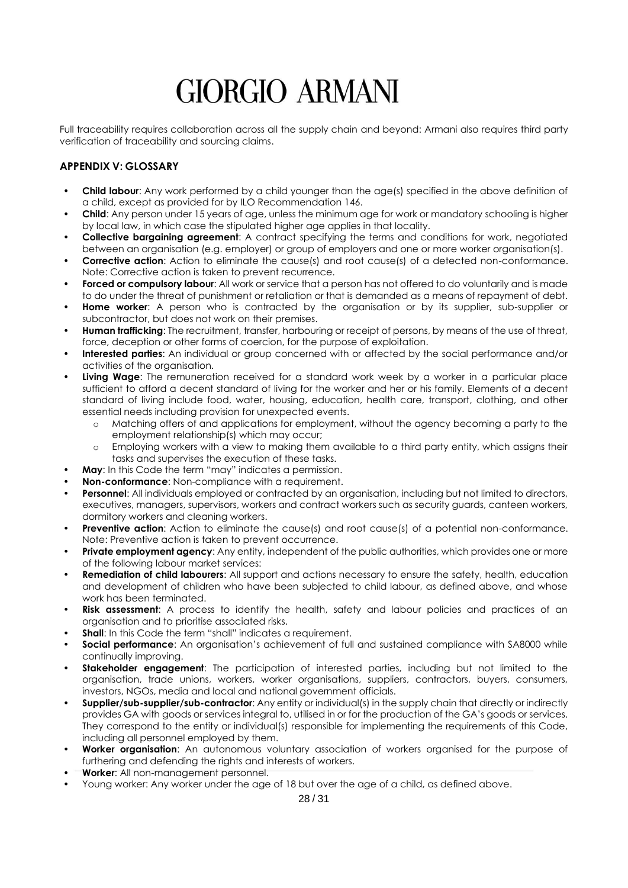Full traceability requires collaboration across all the supply chain and beyond: Armani also requires third party verification of traceability and sourcing claims.

#### <span id="page-27-0"></span>**APPENDIX V: GLOSSARY**

- **Child labour**: Any work performed by a child younger than the age(s) specified in the above definition of a child, except as provided for by ILO Recommendation 146.
- **Child**: Any person under 15 years of age, unless the minimum age for work or mandatory schooling is higher by local law, in which case the stipulated higher age applies in that locality.
- **Collective bargaining agreement**: A contract specifying the terms and conditions for work, negotiated between an organisation (e.g. employer) or group of employers and one or more worker organisation(s).
- **Corrective action:** Action to eliminate the cause(s) and root cause(s) of a detected non-conformance. Note: Corrective action is taken to prevent recurrence.
- **Forced or compulsory labour**: All work or service that a person has not offered to do voluntarily and is made to do under the threat of punishment or retaliation or that is demanded as a means of repayment of debt.
- **Home worker**: A person who is contracted by the organisation or by its supplier, sub-supplier or subcontractor, but does not work on their premises.
- **Human trafficking**: The recruitment, transfer, harbouring or receipt of persons, by means of the use of threat, force, deception or other forms of coercion, for the purpose of exploitation.
- **Interested parties**: An individual or group concerned with or affected by the social performance and/or activities of the organisation.
- **Living Wage**: The remuneration received for a standard work week by a worker in a particular place sufficient to afford a decent standard of living for the worker and her or his family. Elements of a decent standard of living include food, water, housing, education, health care, transport, clothing, and other essential needs including provision for unexpected events.
	- o Matching offers of and applications for employment, without the agency becoming a party to the employment relationship(s) which may occur;
	- o Employing workers with a view to making them available to a third party entity, which assigns their tasks and supervises the execution of these tasks.
- **May**: In this Code the term "may" indicates a permission.
- **Non-conformance**: Non-compliance with a requirement.
- **Personnel:** All individuals employed or contracted by an organisation, including but not limited to directors, executives, managers, supervisors, workers and contract workers such as security guards, canteen workers, dormitory workers and cleaning workers.
- **Preventive action:** Action to eliminate the cause(s) and root cause(s) of a potential non-conformance. Note: Preventive action is taken to prevent occurrence.
- **Private employment agency**: Any entity, independent of the public authorities, which provides one or more of the following labour market services:
- **Remediation of child labourers**: All support and actions necessary to ensure the safety, health, education and development of children who have been subjected to child labour, as defined above, and whose work has been terminated.
- **Risk assessment**: A process to identify the health, safety and labour policies and practices of an organisation and to prioritise associated risks.
- **Shall:** In this Code the term "shall" indicates a requirement.
- **Social performance**: An organisation's achievement of full and sustained compliance with SA8000 while continually improving.
- **Stakeholder engagement**: The participation of interested parties, including but not limited to the organisation, trade unions, workers, worker organisations, suppliers, contractors, buyers, consumers, investors, NGOs, media and local and national government officials.
- **Supplier/sub-supplier/sub-contractor**: Any entity or individual(s) in the supply chain that directly or indirectly provides GA with goods or services integral to, utilised in or for the production of the GA's goods or services. They correspond to the entity or individual(s) responsible for implementing the requirements of this Code, including all personnel employed by them.
- **Worker organisation**: An autonomous voluntary association of workers organised for the purpose of furthering and defending the rights and interests of workers.
- **Worker**: All non-management personnel.
- Young worker: Any worker under the age of 18 but over the age of a child, as defined above.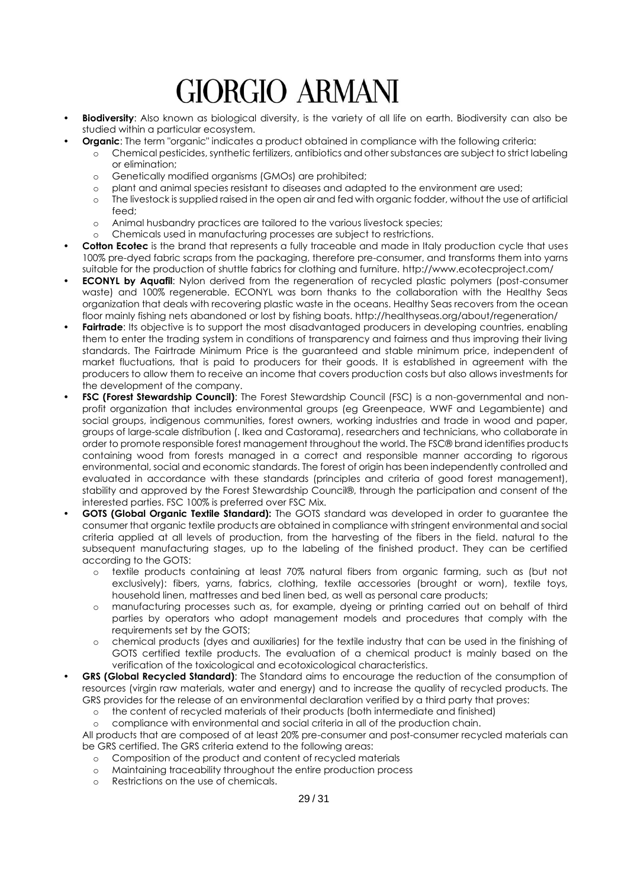- **Biodiversity**: Also known as biological diversity, is the variety of all life on earth. Biodiversity can also be studied within a particular ecosystem.
	- **Organic**: The term "organic" indicates a product obtained in compliance with the following criteria:
		- o Chemical pesticides, synthetic fertilizers, antibiotics and other substances are subject to strict labeling or elimination;
		- o Genetically modified organisms (GMOs) are prohibited;
		- o plant and animal species resistant to diseases and adapted to the environment are used;
		- o The livestock is supplied raised in the open air and fed with organic fodder, without the use of artificial feed;
		- o Animal husbandry practices are tailored to the various livestock species;
		- o Chemicals used in manufacturing processes are subject to restrictions.
- **Cotton Ecotec** is the brand that represents a fully traceable and made in Italy production cycle that uses 100% pre-dyed fabric scraps from the packaging, therefore pre-consumer, and transforms them into yarns suitable for the production of shuttle fabrics for clothing and furniture.<http://www.ecotecproject.com/>
- **ECONYL by Aquafil:** Nylon derived from the regeneration of recycled plastic polymers (post-consumer waste) and 100% regenerable. ECONYL was born thanks to the collaboration with the Healthy Seas organization that deals with recovering plastic waste in the oceans. Healthy Seas recovers from the ocean floor mainly fishing nets abandoned or lost by fishing boats.<http://healthyseas.org/about/regeneration/>
- **Fairtrade:** Its objective is to support the most disadvantaged producers in developing countries, enabling them to enter the trading system in conditions of transparency and fairness and thus improving their living standards. The Fairtrade Minimum Price is the guaranteed and stable minimum price, independent of market fluctuations, that is paid to producers for their goods. It is established in agreement with the producers to allow them to receive an income that covers production costs but also allows investments for the development of the company.
- **FSC (Forest Stewardship Council)**: The Forest Stewardship Council (FSC) is a non-governmental and nonprofit organization that includes environmental groups (eg Greenpeace, WWF and Legambiente) and social groups, indigenous communities, forest owners, working industries and trade in wood and paper, groups of large-scale distribution (. Ikea and Castorama), researchers and technicians, who collaborate in order to promote responsible forest management throughout the world. The FSC® brand identifies products containing wood from forests managed in a correct and responsible manner according to rigorous environmental, social and economic standards. The forest of origin has been independently controlled and evaluated in accordance with these standards (principles and criteria of good forest management), stability and approved by the Forest Stewardship Council®, through the participation and consent of the interested parties. FSC 100% is preferred over FSC Mix.
- **GOTS (Global Organic Textile Standard):** The GOTS standard was developed in order to guarantee the consumer that organic textile products are obtained in compliance with stringent environmental and social criteria applied at all levels of production, from the harvesting of the fibers in the field. natural to the subsequent manufacturing stages, up to the labeling of the finished product. They can be certified according to the GOTS:
	- o textile products containing at least 70% natural fibers from organic farming, such as (but not exclusively): fibers, yarns, fabrics, clothing, textile accessories (brought or worn), textile toys, household linen, mattresses and bed linen bed, as well as personal care products;
	- o manufacturing processes such as, for example, dyeing or printing carried out on behalf of third parties by operators who adopt management models and procedures that comply with the requirements set by the GOTS;
	- o chemical products (dyes and auxiliaries) for the textile industry that can be used in the finishing of GOTS certified textile products. The evaluation of a chemical product is mainly based on the verification of the toxicological and ecotoxicological characteristics.
- **GRS (Global Recycled Standard)**: The Standard aims to encourage the reduction of the consumption of resources (virgin raw materials, water and energy) and to increase the quality of recycled products. The GRS provides for the release of an environmental declaration verified by a third party that proves:
	- o the content of recycled materials of their products (both intermediate and finished)
	- o compliance with environmental and social criteria in all of the production chain.

All products that are composed of at least 20% pre-consumer and post-consumer recycled materials can be GRS certified. The GRS criteria extend to the following areas:

- o Composition of the product and content of recycled materials
- o Maintaining traceability throughout the entire production process
- o Restrictions on the use of chemicals.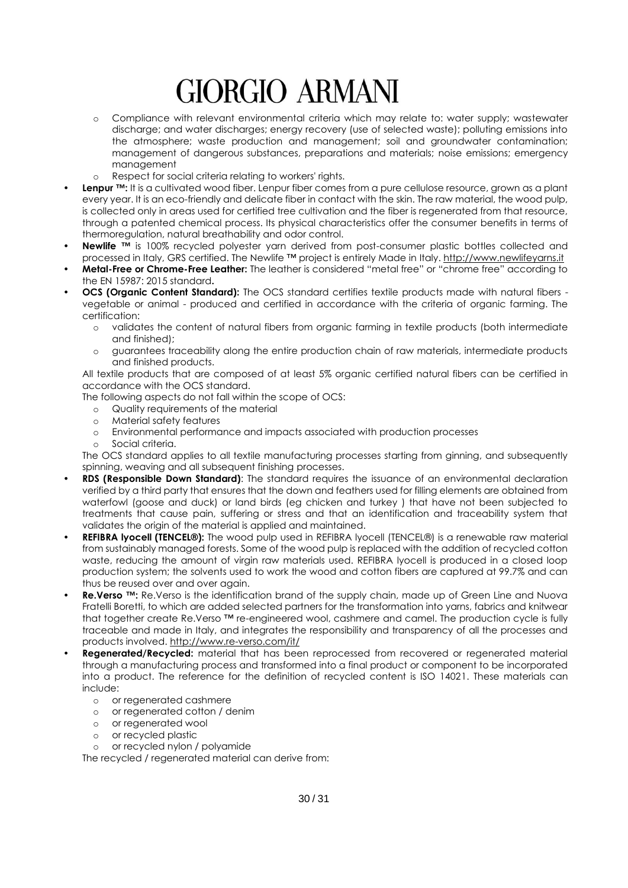- o Compliance with relevant environmental criteria which may relate to: water supply; wastewater discharge; and water discharges; energy recovery (use of selected waste); polluting emissions into the atmosphere; waste production and management; soil and groundwater contamination; management of dangerous substances, preparations and materials; noise emissions; emergency management
- o Respect for social criteria relating to workers' rights.
- Lenpur ™: It is a cultivated wood fiber. Lenpur fiber comes from a pure cellulose resource, grown as a plant every year. It is an eco-friendly and delicate fiber in contact with the skin. The raw material, the wood pulp, is collected only in areas used for certified tree cultivation and the fiber is regenerated from that resource, through a patented chemical process. Its physical characteristics offer the consumer benefits in terms of thermoregulation, natural breathability and odor control.
- **Newlife** ™ is 100% recycled polyester yarn derived from post-consumer plastic bottles collected and processed in Italy, GRS certified. The Newlife ™ project is entirely Made in Italy[. http://www.newlifeyarns.it](http://www.newlifeyarns.it/)
- **Metal-Free or Chrome-Free Leather:** The leather is considered "metal free" or "chrome free" according to the EN 15987: 2015 standard**.**
- **OCS (Organic Content Standard):** The OCS standard certifies textile products made with natural fibers vegetable or animal - produced and certified in accordance with the criteria of organic farming. The certification:
	- o validates the content of natural fibers from organic farming in textile products (both intermediate and finished);
	- o guarantees traceability along the entire production chain of raw materials, intermediate products and finished products.

All textile products that are composed of at least 5% organic certified natural fibers can be certified in accordance with the OCS standard.

The following aspects do not fall within the scope of OCS:

- o Quality requirements of the material
- o Material safety features
- o Environmental performance and impacts associated with production processes
- o Social criteria.

The OCS standard applies to all textile manufacturing processes starting from ginning, and subsequently spinning, weaving and all subsequent finishing processes.

- **RDS (Responsible Down Standard)**: The standard requires the issuance of an environmental declaration verified by a third party that ensures that the down and feathers used for filling elements are obtained from waterfowl (goose and duck) or land birds (eg chicken and turkey ) that have not been subjected to treatments that cause pain, suffering or stress and that an identification and traceability system that validates the origin of the material is applied and maintained.
- **REFIBRA lyocell (TENCEL®):** The wood pulp used in REFIBRA lyocell (TENCEL®) is a renewable raw material from sustainably managed forests. Some of the wood pulp is replaced with the addition of recycled cotton waste, reducing the amount of virgin raw materials used. REFIBRA lyocell is produced in a closed loop production system; the solvents used to work the wood and cotton fibers are captured at 99.7% and can thus be reused over and over again.
- **Re.Verso** ™: Re.Verso is the identification brand of the supply chain, made up of Green Line and Nuova Fratelli Boretti, to which are added selected partners for the transformation into yarns, fabrics and knitwear that together create Re.Verso ™ re-engineered wool, cashmere and camel. The production cycle is fully traceable and made in Italy, and integrates the responsibility and transparency of all the processes and products involved.<http://www.re-verso.com/it/>
- **Regenerated/Recycled:** material that has been reprocessed from recovered or regenerated material through a manufacturing process and transformed into a final product or component to be incorporated into a product. The reference for the definition of recycled content is ISO 14021. These materials can include:
	- o or regenerated cashmere
	- o or regenerated cotton / denim
	- o or regenerated wool
	- o or recycled plastic
	- o or recycled nylon / polyamide

The recycled / regenerated material can derive from: